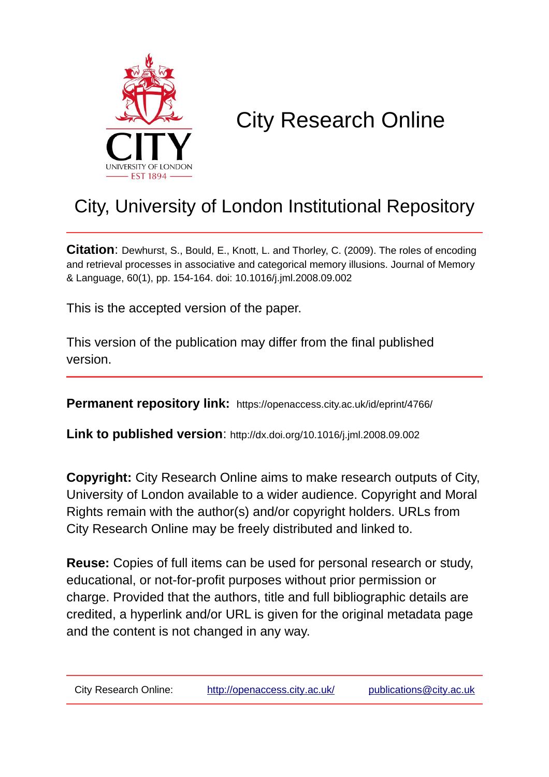

# City Research Online

# City, University of London Institutional Repository

**Citation**: Dewhurst, S., Bould, E., Knott, L. and Thorley, C. (2009). The roles of encoding and retrieval processes in associative and categorical memory illusions. Journal of Memory & Language, 60(1), pp. 154-164. doi: 10.1016/j.jml.2008.09.002

This is the accepted version of the paper.

This version of the publication may differ from the final published version.

**Permanent repository link:** https://openaccess.city.ac.uk/id/eprint/4766/

**Link to published version**: http://dx.doi.org/10.1016/j.jml.2008.09.002

**Copyright:** City Research Online aims to make research outputs of City, University of London available to a wider audience. Copyright and Moral Rights remain with the author(s) and/or copyright holders. URLs from City Research Online may be freely distributed and linked to.

**Reuse:** Copies of full items can be used for personal research or study, educational, or not-for-profit purposes without prior permission or charge. Provided that the authors, title and full bibliographic details are credited, a hyperlink and/or URL is given for the original metadata page and the content is not changed in any way.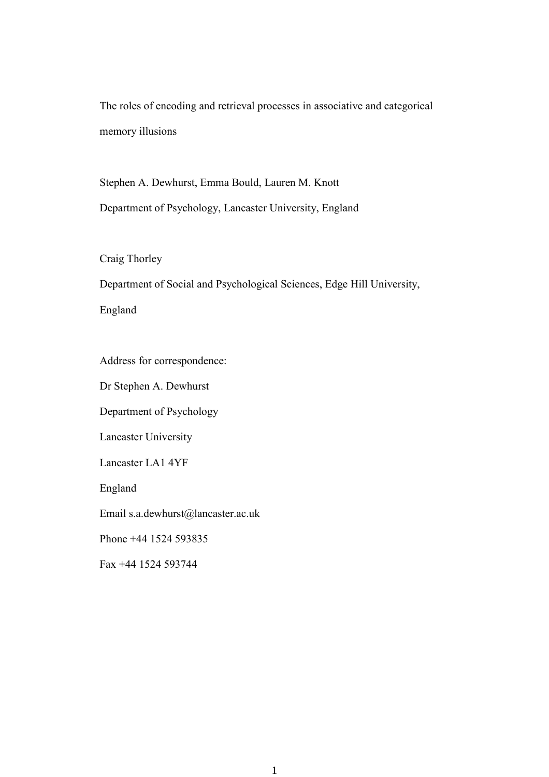The roles of encoding and retrieval processes in associative and categorical memory illusions

Stephen A. Dewhurst, Emma Bould, Lauren M. Knott Department of Psychology, Lancaster University, England

Craig Thorley

Department of Social and Psychological Sciences, Edge Hill University,

England

Address for correspondence:

Dr Stephen A. Dewhurst

Department of Psychology

Lancaster University

Lancaster LA1 4YF

England

Email s.a.dewhurst@lancaster.ac.uk

Phone +44 1524 593835

Fax +44 1524 593744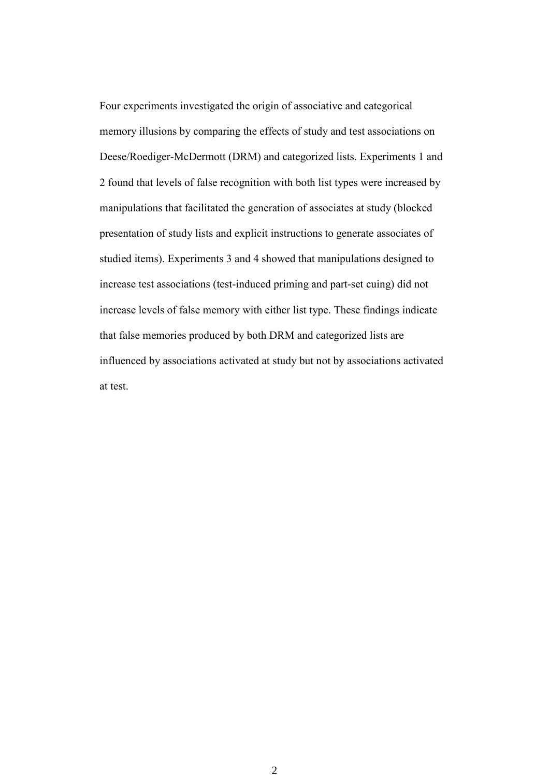Four experiments investigated the origin of associative and categorical memory illusions by comparing the effects of study and test associations on Deese/Roediger-McDermott (DRM) and categorized lists. Experiments 1 and 2 found that levels of false recognition with both list types were increased by manipulations that facilitated the generation of associates at study (blocked presentation of study lists and explicit instructions to generate associates of studied items). Experiments 3 and 4 showed that manipulations designed to increase test associations (test-induced priming and part-set cuing) did not increase levels of false memory with either list type. These findings indicate that false memories produced by both DRM and categorized lists are influenced by associations activated at study but not by associations activated at test.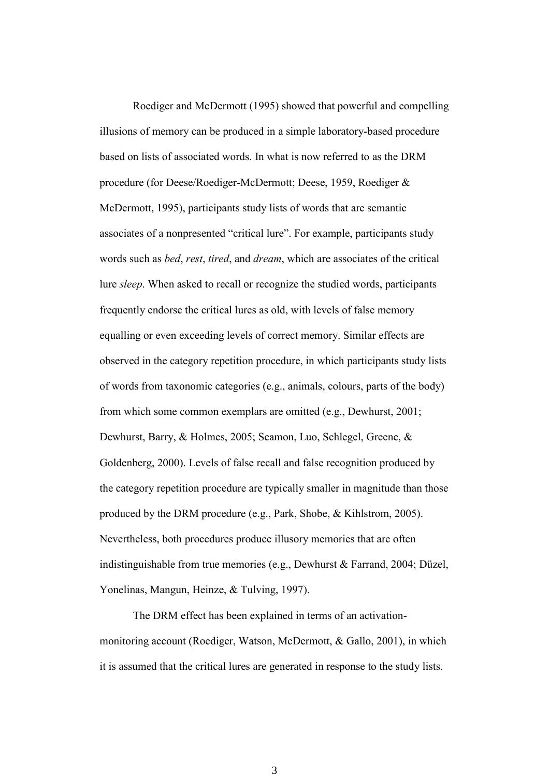Roediger and McDermott (1995) showed that powerful and compelling illusions of memory can be produced in a simple laboratory-based procedure based on lists of associated words. In what is now referred to as the DRM procedure (for Deese/Roediger-McDermott; Deese, 1959, Roediger & McDermott, 1995), participants study lists of words that are semantic associates of a nonpresented "critical lure". For example, participants study words such as *bed*, *rest*, *tired*, and *dream*, which are associates of the critical lure *sleep*. When asked to recall or recognize the studied words, participants frequently endorse the critical lures as old, with levels of false memory equalling or even exceeding levels of correct memory. Similar effects are observed in the category repetition procedure, in which participants study lists of words from taxonomic categories (e.g., animals, colours, parts of the body) from which some common exemplars are omitted (e.g., Dewhurst, 2001; Dewhurst, Barry, & Holmes, 2005; Seamon, Luo, Schlegel, Greene, & Goldenberg, 2000). Levels of false recall and false recognition produced by the category repetition procedure are typically smaller in magnitude than those produced by the DRM procedure (e.g., Park, Shobe, & Kihlstrom, 2005). Nevertheless, both procedures produce illusory memories that are often indistinguishable from true memories (e.g., Dewhurst & Farrand, 2004; Düzel, Yonelinas, Mangun, Heinze, & Tulving, 1997).

The DRM effect has been explained in terms of an activationmonitoring account (Roediger, Watson, McDermott, & Gallo, 2001), in which it is assumed that the critical lures are generated in response to the study lists.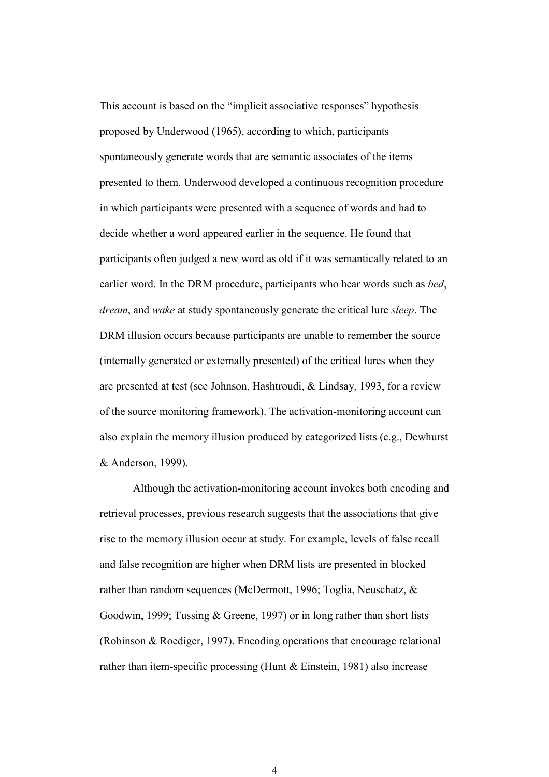This account is based on the "implicit associative responses" hypothesis proposed by Underwood (1965), according to which, participants spontaneously generate words that are semantic associates of the items presented to them. Underwood developed a continuous recognition procedure in which participants were presented with a sequence of words and had to decide whether a word appeared earlier in the sequence. He found that participants often judged a new word as old if it was semantically related to an earlier word. In the DRM procedure, participants who hear words such as *bed*, *dream*, and *wake* at study spontaneously generate the critical lure *sleep*. The DRM illusion occurs because participants are unable to remember the source (internally generated or externally presented) of the critical lures when they are presented at test (see Johnson, Hashtroudi, & Lindsay, 1993, for a review of the source monitoring framework). The activation-monitoring account can also explain the memory illusion produced by categorized lists (e.g., Dewhurst & Anderson, 1999).

Although the activation-monitoring account invokes both encoding and retrieval processes, previous research suggests that the associations that give rise to the memory illusion occur at study. For example, levels of false recall and false recognition are higher when DRM lists are presented in blocked rather than random sequences (McDermott, 1996; Toglia, Neuschatz, & Goodwin, 1999; Tussing & Greene, 1997) or in long rather than short lists (Robinson & Roediger, 1997). Encoding operations that encourage relational rather than item-specific processing (Hunt & Einstein, 1981) also increase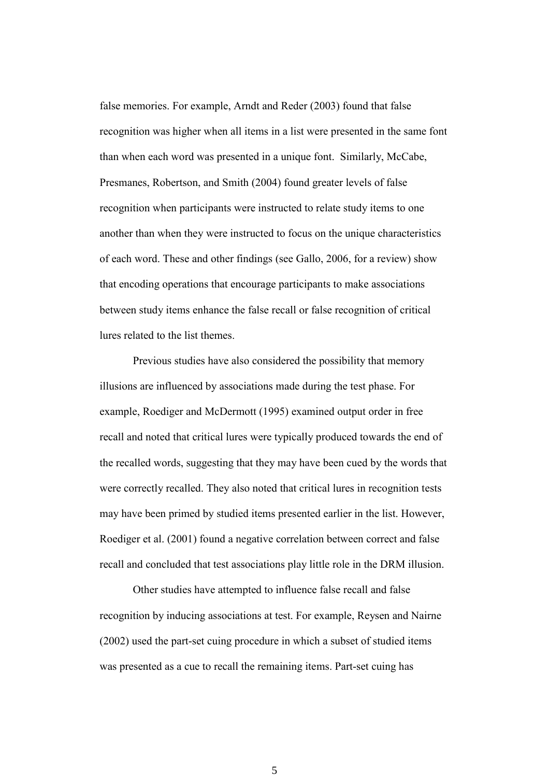false memories. For example, Arndt and Reder (2003) found that false recognition was higher when all items in a list were presented in the same font than when each word was presented in a unique font. Similarly, McCabe, Presmanes, Robertson, and Smith (2004) found greater levels of false recognition when participants were instructed to relate study items to one another than when they were instructed to focus on the unique characteristics of each word. These and other findings (see Gallo, 2006, for a review) show that encoding operations that encourage participants to make associations between study items enhance the false recall or false recognition of critical lures related to the list themes.

Previous studies have also considered the possibility that memory illusions are influenced by associations made during the test phase. For example, Roediger and McDermott (1995) examined output order in free recall and noted that critical lures were typically produced towards the end of the recalled words, suggesting that they may have been cued by the words that were correctly recalled. They also noted that critical lures in recognition tests may have been primed by studied items presented earlier in the list. However, Roediger et al. (2001) found a negative correlation between correct and false recall and concluded that test associations play little role in the DRM illusion.

Other studies have attempted to influence false recall and false recognition by inducing associations at test. For example, Reysen and Nairne (2002) used the part-set cuing procedure in which a subset of studied items was presented as a cue to recall the remaining items. Part-set cuing has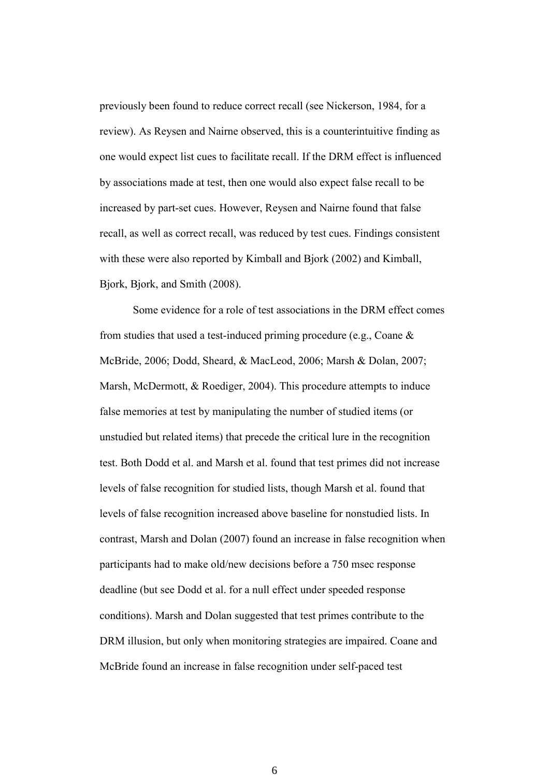previously been found to reduce correct recall (see Nickerson, 1984, for a review). As Reysen and Nairne observed, this is a counterintuitive finding as one would expect list cues to facilitate recall. If the DRM effect is influenced by associations made at test, then one would also expect false recall to be increased by part-set cues. However, Reysen and Nairne found that false recall, as well as correct recall, was reduced by test cues. Findings consistent with these were also reported by Kimball and Bjork (2002) and Kimball, Bjork, Bjork, and Smith (2008).

Some evidence for a role of test associations in the DRM effect comes from studies that used a test-induced priming procedure (e.g., Coane & McBride, 2006; Dodd, Sheard, & MacLeod, 2006; Marsh & Dolan, 2007; Marsh, McDermott, & Roediger, 2004). This procedure attempts to induce false memories at test by manipulating the number of studied items (or unstudied but related items) that precede the critical lure in the recognition test. Both Dodd et al. and Marsh et al. found that test primes did not increase levels of false recognition for studied lists, though Marsh et al. found that levels of false recognition increased above baseline for nonstudied lists. In contrast, Marsh and Dolan (2007) found an increase in false recognition when participants had to make old/new decisions before a 750 msec response deadline (but see Dodd et al. for a null effect under speeded response conditions). Marsh and Dolan suggested that test primes contribute to the DRM illusion, but only when monitoring strategies are impaired. Coane and McBride found an increase in false recognition under self-paced test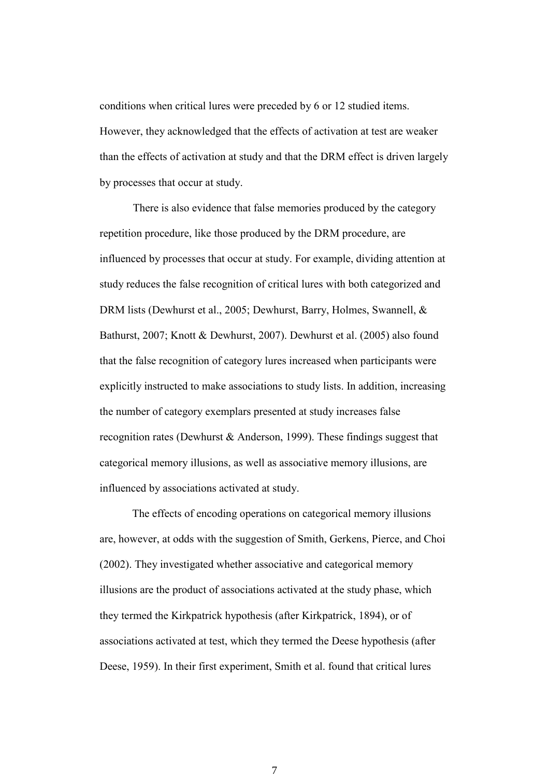conditions when critical lures were preceded by 6 or 12 studied items. However, they acknowledged that the effects of activation at test are weaker than the effects of activation at study and that the DRM effect is driven largely by processes that occur at study.

There is also evidence that false memories produced by the category repetition procedure, like those produced by the DRM procedure, are influenced by processes that occur at study. For example, dividing attention at study reduces the false recognition of critical lures with both categorized and DRM lists (Dewhurst et al., 2005; Dewhurst, Barry, Holmes, Swannell, & Bathurst, 2007; Knott & Dewhurst, 2007). Dewhurst et al. (2005) also found that the false recognition of category lures increased when participants were explicitly instructed to make associations to study lists. In addition, increasing the number of category exemplars presented at study increases false recognition rates (Dewhurst & Anderson, 1999). These findings suggest that categorical memory illusions, as well as associative memory illusions, are influenced by associations activated at study.

The effects of encoding operations on categorical memory illusions are, however, at odds with the suggestion of Smith, Gerkens, Pierce, and Choi (2002). They investigated whether associative and categorical memory illusions are the product of associations activated at the study phase, which they termed the Kirkpatrick hypothesis (after Kirkpatrick, 1894), or of associations activated at test, which they termed the Deese hypothesis (after Deese, 1959). In their first experiment, Smith et al. found that critical lures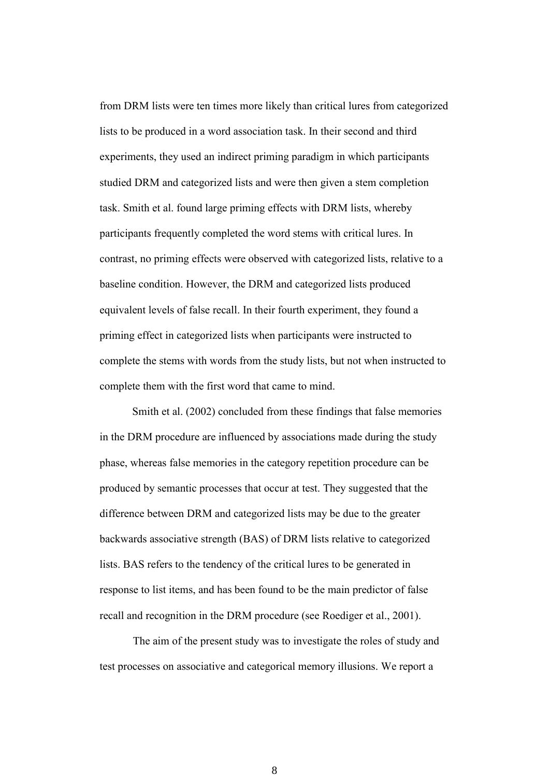from DRM lists were ten times more likely than critical lures from categorized lists to be produced in a word association task. In their second and third experiments, they used an indirect priming paradigm in which participants studied DRM and categorized lists and were then given a stem completion task. Smith et al. found large priming effects with DRM lists, whereby participants frequently completed the word stems with critical lures. In contrast, no priming effects were observed with categorized lists, relative to a baseline condition. However, the DRM and categorized lists produced equivalent levels of false recall. In their fourth experiment, they found a priming effect in categorized lists when participants were instructed to complete the stems with words from the study lists, but not when instructed to complete them with the first word that came to mind.

Smith et al. (2002) concluded from these findings that false memories in the DRM procedure are influenced by associations made during the study phase, whereas false memories in the category repetition procedure can be produced by semantic processes that occur at test. They suggested that the difference between DRM and categorized lists may be due to the greater backwards associative strength (BAS) of DRM lists relative to categorized lists. BAS refers to the tendency of the critical lures to be generated in response to list items, and has been found to be the main predictor of false recall and recognition in the DRM procedure (see Roediger et al., 2001).

The aim of the present study was to investigate the roles of study and test processes on associative and categorical memory illusions. We report a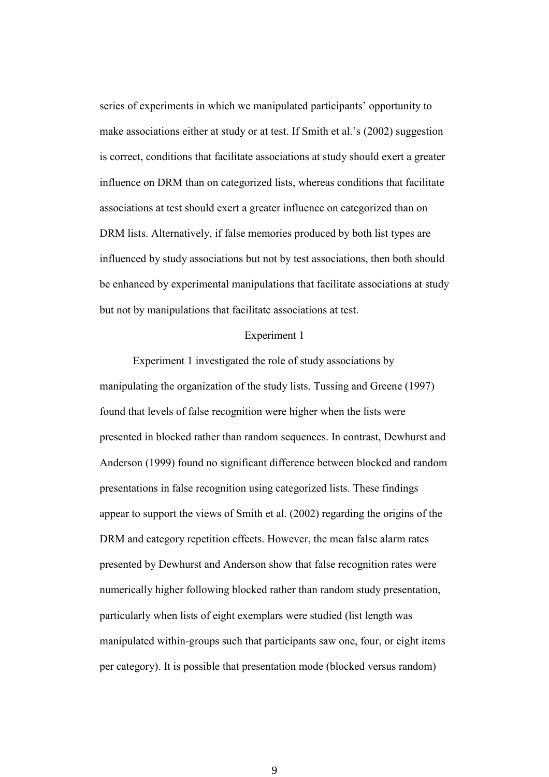series of experiments in which we manipulated participants' opportunity to make associations either at study or at test. If Smith et al.'s (2002) suggestion is correct, conditions that facilitate associations at study should exert a greater influence on DRM than on categorized lists, whereas conditions that facilitate associations at test should exert a greater influence on categorized than on DRM lists. Alternatively, if false memories produced by both list types are influenced by study associations but not by test associations, then both should be enhanced by experimental manipulations that facilitate associations at study but not by manipulations that facilitate associations at test.

#### Experiment 1

Experiment 1 investigated the role of study associations by manipulating the organization of the study lists. Tussing and Greene (1997) found that levels of false recognition were higher when the lists were presented in blocked rather than random sequences. In contrast, Dewhurst and Anderson (1999) found no significant difference between blocked and random presentations in false recognition using categorized lists. These findings appear to support the views of Smith et al. (2002) regarding the origins of the DRM and category repetition effects. However, the mean false alarm rates presented by Dewhurst and Anderson show that false recognition rates were numerically higher following blocked rather than random study presentation, particularly when lists of eight exemplars were studied (list length was manipulated within-groups such that participants saw one, four, or eight items per category). It is possible that presentation mode (blocked versus random)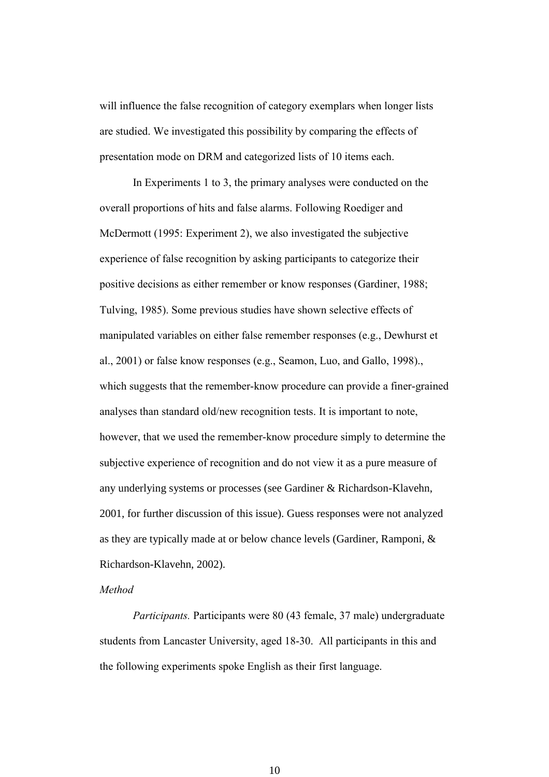will influence the false recognition of category exemplars when longer lists are studied. We investigated this possibility by comparing the effects of presentation mode on DRM and categorized lists of 10 items each.

In Experiments 1 to 3, the primary analyses were conducted on the overall proportions of hits and false alarms. Following Roediger and McDermott (1995: Experiment 2), we also investigated the subjective experience of false recognition by asking participants to categorize their positive decisions as either remember or know responses (Gardiner, 1988; Tulving, 1985). Some previous studies have shown selective effects of manipulated variables on either false remember responses (e.g., Dewhurst et al., 2001) or false know responses (e.g., Seamon, Luo, and Gallo, 1998)., which suggests that the remember-know procedure can provide a finer-grained analyses than standard old/new recognition tests. It is important to note, however, that we used the remember-know procedure simply to determine the subjective experience of recognition and do not view it as a pure measure of any underlying systems or processes (see Gardiner & Richardson-Klavehn, 2001, for further discussion of this issue). Guess responses were not analyzed as they are typically made at or below chance levels (Gardiner, Ramponi, & Richardson-Klavehn, 2002).

# *Method*

*Participants.* Participants were 80 (43 female, 37 male) undergraduate students from Lancaster University, aged 18-30. All participants in this and the following experiments spoke English as their first language.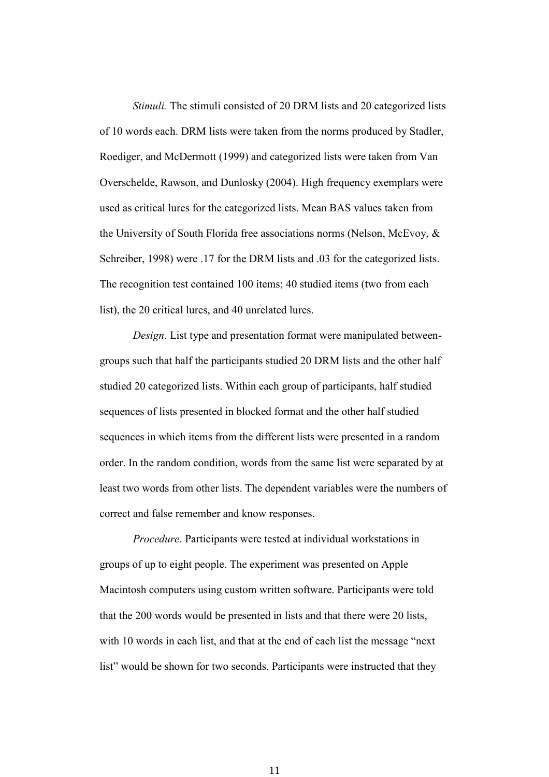*Stimuli.* The stimuli consisted of 20 DRM lists and 20 categorized lists of 10 words each. DRM lists were taken from the norms produced by Stadler, Roediger, and McDermott (1999) and categorized lists were taken from Van Overschelde, Rawson, and Dunlosky (2004). High frequency exemplars were used as critical lures for the categorized lists. Mean BAS values taken from the University of South Florida free associations norms (Nelson, McEvoy, & Schreiber, 1998) were .17 for the DRM lists and .03 for the categorized lists. The recognition test contained 100 items; 40 studied items (two from each list), the 20 critical lures, and 40 unrelated lures.

*Design*. List type and presentation format were manipulated betweengroups such that half the participants studied 20 DRM lists and the other half studied 20 categorized lists. Within each group of participants, half studied sequences of lists presented in blocked format and the other half studied sequences in which items from the different lists were presented in a random order. In the random condition, words from the same list were separated by at least two words from other lists. The dependent variables were the numbers of correct and false remember and know responses.

*Procedure*. Participants were tested at individual workstations in groups of up to eight people. The experiment was presented on Apple Macintosh computers using custom written software. Participants were told that the 200 words would be presented in lists and that there were 20 lists, with 10 words in each list, and that at the end of each list the message "next" list" would be shown for two seconds. Participants were instructed that they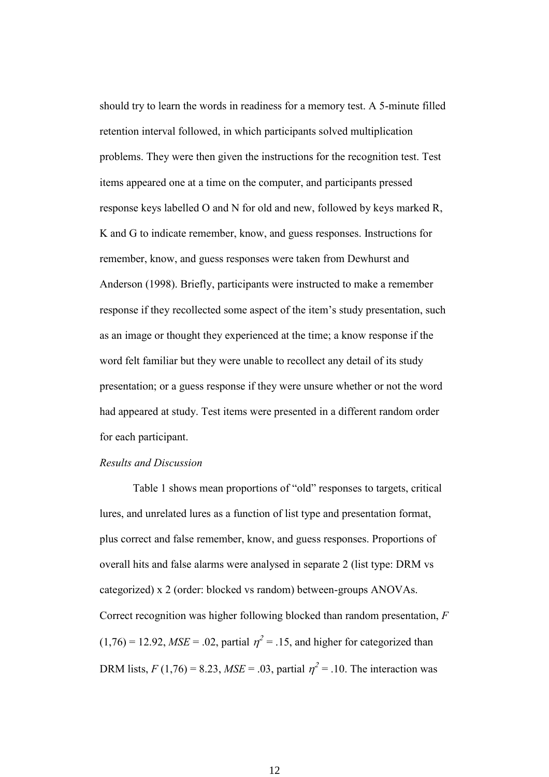should try to learn the words in readiness for a memory test. A 5-minute filled retention interval followed, in which participants solved multiplication problems. They were then given the instructions for the recognition test. Test items appeared one at a time on the computer, and participants pressed response keys labelled O and N for old and new, followed by keys marked R, K and G to indicate remember, know, and guess responses. Instructions for remember, know, and guess responses were taken from Dewhurst and Anderson (1998). Briefly, participants were instructed to make a remember response if they recollected some aspect of the item's study presentation, such as an image or thought they experienced at the time; a know response if the word felt familiar but they were unable to recollect any detail of its study presentation; or a guess response if they were unsure whether or not the word had appeared at study. Test items were presented in a different random order for each participant.

# *Results and Discussion*

Table 1 shows mean proportions of "old" responses to targets, critical lures, and unrelated lures as a function of list type and presentation format, plus correct and false remember, know, and guess responses. Proportions of overall hits and false alarms were analysed in separate 2 (list type: DRM vs categorized) x 2 (order: blocked vs random) between-groups ANOVAs. Correct recognition was higher following blocked than random presentation, *F*  $(1,76) = 12.92$ , *MSE* = .02, partial  $\eta^2 = .15$ , and higher for categorized than DRM lists,  $F(1,76) = 8.23$ ,  $MSE = .03$ , partial  $\eta^2 = .10$ . The interaction was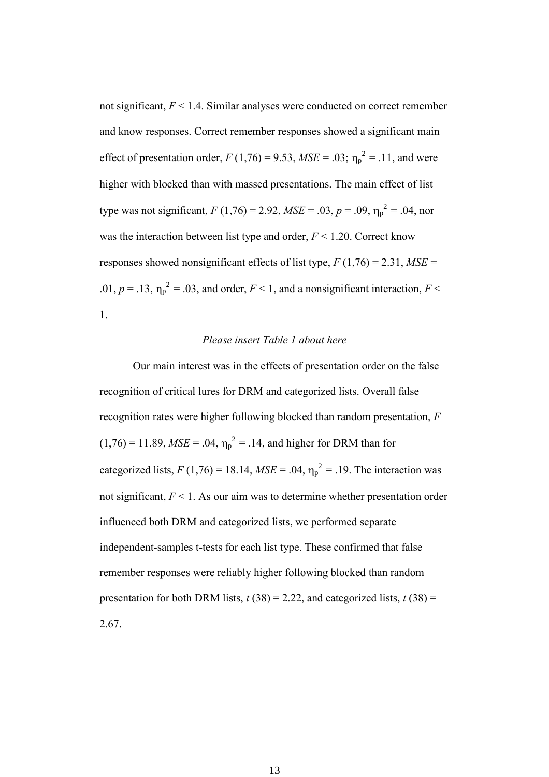not significant, *F* < 1.4. Similar analyses were conducted on correct remember and know responses. Correct remember responses showed a significant main effect of presentation order,  $F(1,76) = 9.53$ ,  $MSE = .03$ ;  $\eta_p^2 = .11$ , and were higher with blocked than with massed presentations. The main effect of list type was not significant,  $F(1,76) = 2.92$ ,  $MSE = .03$ ,  $p = .09$ ,  $\eta_p^2 = .04$ , nor was the interaction between list type and order, *F* < 1.20. Correct know responses showed nonsignificant effects of list type,  $F(1,76) = 2.31$ ,  $MSE =$ .01,  $p = .13$ ,  $\eta_p^2 = .03$ , and order,  $F < 1$ , and a nonsignificant interaction,  $F <$ 1.

# *Please insert Table 1 about here*

Our main interest was in the effects of presentation order on the false recognition of critical lures for DRM and categorized lists. Overall false recognition rates were higher following blocked than random presentation, *F*  $(1,76) = 11.89$ ,  $MSE = .04$ ,  $\eta_p^2 = .14$ , and higher for DRM than for categorized lists,  $F(1,76) = 18.14$ ,  $MSE = .04$ ,  $\eta_p^2 = .19$ . The interaction was not significant, *F* < 1. As our aim was to determine whether presentation order influenced both DRM and categorized lists, we performed separate independent-samples t-tests for each list type. These confirmed that false remember responses were reliably higher following blocked than random presentation for both DRM lists,  $t(38) = 2.22$ , and categorized lists,  $t(38) =$ 2.67.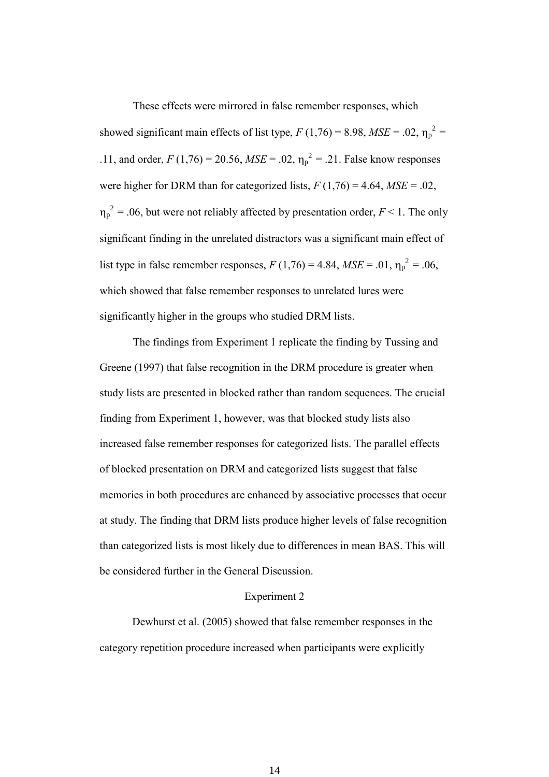These effects were mirrored in false remember responses, which showed significant main effects of list type,  $F(1,76) = 8.98$ ,  $MSE = .02$ ,  $\eta_p^2 =$ .11, and order,  $F(1,76) = 20.56$ ,  $MSE = .02$ ,  $\eta_p^2 = .21$ . False know responses were higher for DRM than for categorized lists,  $F(1,76) = 4.64$ ,  $MSE = .02$ ,  $\eta_p^2$  = .06, but were not reliably affected by presentation order,  $F \le 1$ . The only significant finding in the unrelated distractors was a significant main effect of list type in false remember responses,  $F(1,76) = 4.84$ ,  $MSE = .01$ ,  $\eta_p^2 = .06$ , which showed that false remember responses to unrelated lures were significantly higher in the groups who studied DRM lists.

The findings from Experiment 1 replicate the finding by Tussing and Greene (1997) that false recognition in the DRM procedure is greater when study lists are presented in blocked rather than random sequences. The crucial finding from Experiment 1, however, was that blocked study lists also increased false remember responses for categorized lists. The parallel effects of blocked presentation on DRM and categorized lists suggest that false memories in both procedures are enhanced by associative processes that occur at study. The finding that DRM lists produce higher levels of false recognition than categorized lists is most likely due to differences in mean BAS. This will be considered further in the General Discussion.

## Experiment 2

Dewhurst et al. (2005) showed that false remember responses in the category repetition procedure increased when participants were explicitly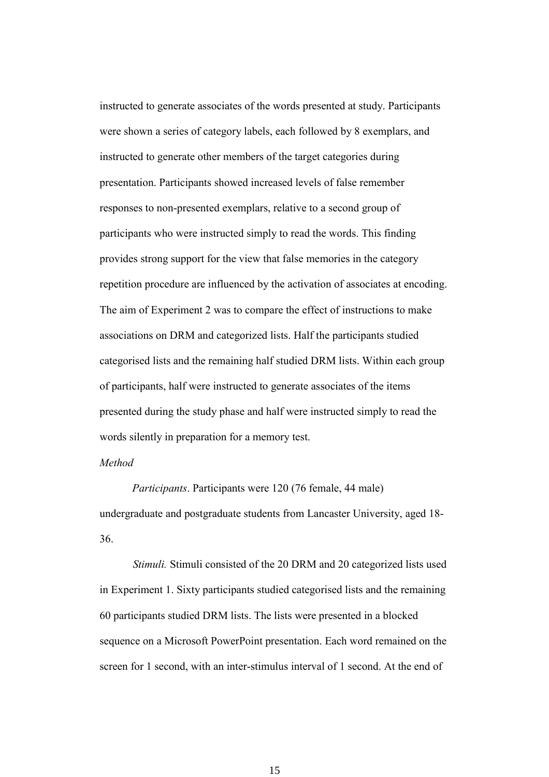instructed to generate associates of the words presented at study. Participants were shown a series of category labels, each followed by 8 exemplars, and instructed to generate other members of the target categories during presentation. Participants showed increased levels of false remember responses to non-presented exemplars, relative to a second group of participants who were instructed simply to read the words. This finding provides strong support for the view that false memories in the category repetition procedure are influenced by the activation of associates at encoding. The aim of Experiment 2 was to compare the effect of instructions to make associations on DRM and categorized lists. Half the participants studied categorised lists and the remaining half studied DRM lists. Within each group of participants, half were instructed to generate associates of the items presented during the study phase and half were instructed simply to read the words silently in preparation for a memory test.

# *Method*

*Participants*. Participants were 120 (76 female, 44 male) undergraduate and postgraduate students from Lancaster University, aged 18- 36.

*Stimuli.* Stimuli consisted of the 20 DRM and 20 categorized lists used in Experiment 1. Sixty participants studied categorised lists and the remaining 60 participants studied DRM lists. The lists were presented in a blocked sequence on a Microsoft PowerPoint presentation. Each word remained on the screen for 1 second, with an inter-stimulus interval of 1 second. At the end of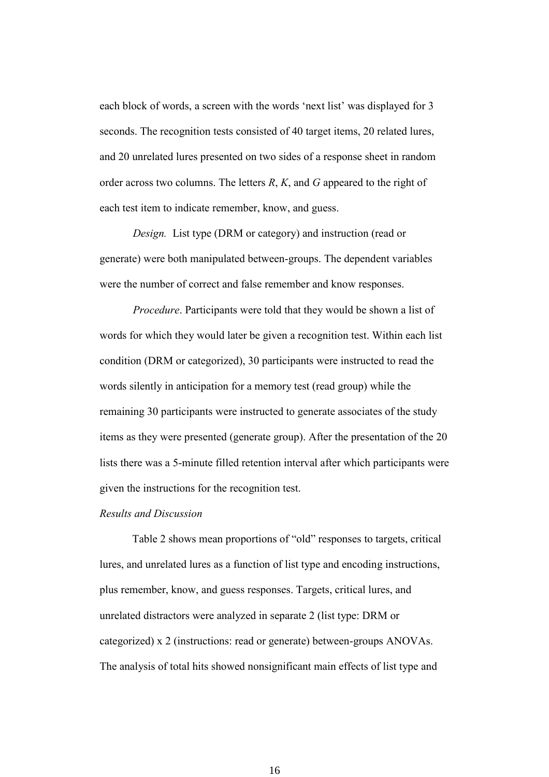each block of words, a screen with the words 'next list' was displayed for 3 seconds. The recognition tests consisted of 40 target items, 20 related lures, and 20 unrelated lures presented on two sides of a response sheet in random order across two columns. The letters *R*, *K*, and *G* appeared to the right of each test item to indicate remember, know, and guess.

*Design.* List type (DRM or category) and instruction (read or generate) were both manipulated between-groups. The dependent variables were the number of correct and false remember and know responses.

*Procedure*. Participants were told that they would be shown a list of words for which they would later be given a recognition test. Within each list condition (DRM or categorized), 30 participants were instructed to read the words silently in anticipation for a memory test (read group) while the remaining 30 participants were instructed to generate associates of the study items as they were presented (generate group). After the presentation of the 20 lists there was a 5-minute filled retention interval after which participants were given the instructions for the recognition test.

#### *Results and Discussion*

Table 2 shows mean proportions of "old" responses to targets, critical lures, and unrelated lures as a function of list type and encoding instructions, plus remember, know, and guess responses. Targets, critical lures, and unrelated distractors were analyzed in separate 2 (list type: DRM or categorized) x 2 (instructions: read or generate) between-groups ANOVAs. The analysis of total hits showed nonsignificant main effects of list type and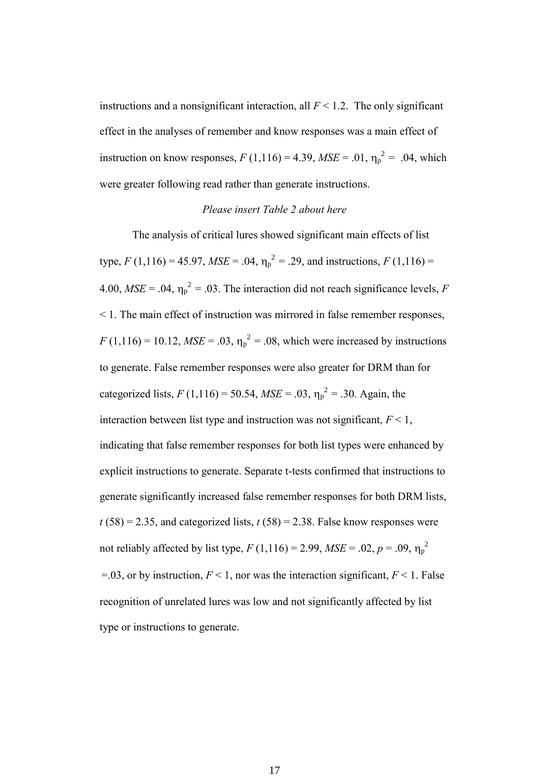instructions and a nonsignificant interaction, all  $F < 1.2$ . The only significant effect in the analyses of remember and know responses was a main effect of instruction on know responses,  $F(1,116) = 4.39$ ,  $MSE = .01$ ,  $\eta_p^2 = .04$ , which were greater following read rather than generate instructions.

#### *Please insert Table 2 about here*

The analysis of critical lures showed significant main effects of list type,  $F(1,116) = 45.97$ ,  $MSE = .04$ ,  $\eta_p^2 = .29$ , and instructions,  $F(1,116) =$ 4.00,  $MSE = .04$ ,  $\eta_p^2 = .03$ . The interaction did not reach significance levels, *F* < 1. The main effect of instruction was mirrored in false remember responses,  $F(1,116) = 10.12$ ,  $MSE = .03$ ,  $\eta_p^2 = .08$ , which were increased by instructions to generate. False remember responses were also greater for DRM than for categorized lists,  $F(1,116) = 50.54$ ,  $MSE = .03$ ,  $\eta_p^2 = .30$ . Again, the interaction between list type and instruction was not significant,  $F < 1$ , indicating that false remember responses for both list types were enhanced by explicit instructions to generate. Separate t-tests confirmed that instructions to generate significantly increased false remember responses for both DRM lists,  $t(58) = 2.35$ , and categorized lists,  $t(58) = 2.38$ . False know responses were not reliably affected by list type,  $F(1,116) = 2.99$ ,  $MSE = .02$ ,  $p = .09$ ,  $\eta_p^2$ =.03, or by instruction,  $F < 1$ , nor was the interaction significant,  $F < 1$ . False recognition of unrelated lures was low and not significantly affected by list type or instructions to generate.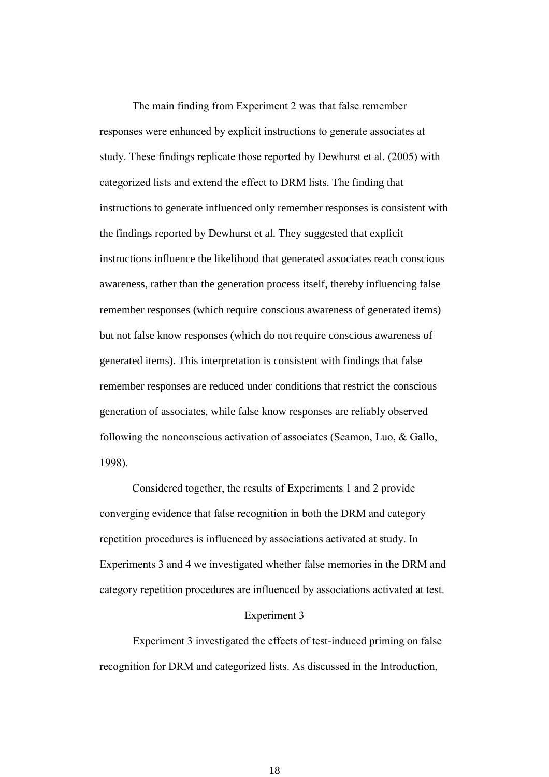The main finding from Experiment 2 was that false remember responses were enhanced by explicit instructions to generate associates at study. These findings replicate those reported by Dewhurst et al. (2005) with categorized lists and extend the effect to DRM lists. The finding that instructions to generate influenced only remember responses is consistent with the findings reported by Dewhurst et al. They suggested that explicit instructions influence the likelihood that generated associates reach conscious awareness, rather than the generation process itself, thereby influencing false remember responses (which require conscious awareness of generated items) but not false know responses (which do not require conscious awareness of generated items). This interpretation is consistent with findings that false remember responses are reduced under conditions that restrict the conscious generation of associates, while false know responses are reliably observed following the nonconscious activation of associates (Seamon, Luo, & Gallo, 1998).

Considered together, the results of Experiments 1 and 2 provide converging evidence that false recognition in both the DRM and category repetition procedures is influenced by associations activated at study. In Experiments 3 and 4 we investigated whether false memories in the DRM and category repetition procedures are influenced by associations activated at test.

#### Experiment 3

Experiment 3 investigated the effects of test-induced priming on false recognition for DRM and categorized lists. As discussed in the Introduction,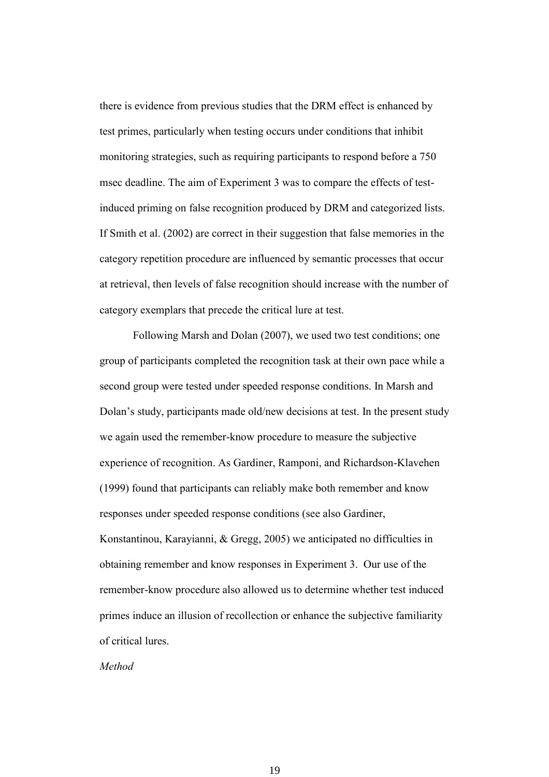there is evidence from previous studies that the DRM effect is enhanced by test primes, particularly when testing occurs under conditions that inhibit monitoring strategies, such as requiring participants to respond before a 750 msec deadline. The aim of Experiment 3 was to compare the effects of testinduced priming on false recognition produced by DRM and categorized lists. If Smith et al. (2002) are correct in their suggestion that false memories in the category repetition procedure are influenced by semantic processes that occur at retrieval, then levels of false recognition should increase with the number of category exemplars that precede the critical lure at test.

Following Marsh and Dolan (2007), we used two test conditions; one group of participants completed the recognition task at their own pace while a second group were tested under speeded response conditions. In Marsh and Dolan's study, participants made old/new decisions at test. In the present study we again used the remember-know procedure to measure the subjective experience of recognition. As Gardiner, Ramponi, and Richardson-Klavehen (1999) found that participants can reliably make both remember and know responses under speeded response conditions (see also Gardiner, Konstantinou, Karayianni, & Gregg, 2005) we anticipated no difficulties in obtaining remember and know responses in Experiment 3. Our use of the remember-know procedure also allowed us to determine whether test induced primes induce an illusion of recollection or enhance the subjective familiarity of critical lures.

*Method*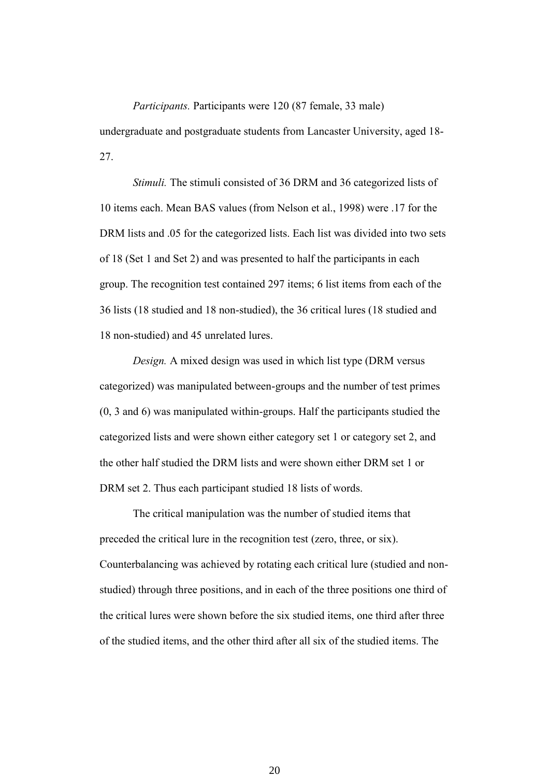## *Participants.* Participants were 120 (87 female, 33 male)

undergraduate and postgraduate students from Lancaster University, aged 18- 27.

*Stimuli.* The stimuli consisted of 36 DRM and 36 categorized lists of 10 items each. Mean BAS values (from Nelson et al., 1998) were .17 for the DRM lists and .05 for the categorized lists. Each list was divided into two sets of 18 (Set 1 and Set 2) and was presented to half the participants in each group. The recognition test contained 297 items; 6 list items from each of the 36 lists (18 studied and 18 non-studied), the 36 critical lures (18 studied and 18 non-studied) and 45 unrelated lures.

*Design.* A mixed design was used in which list type (DRM versus categorized) was manipulated between-groups and the number of test primes (0, 3 and 6) was manipulated within-groups. Half the participants studied the categorized lists and were shown either category set 1 or category set 2, and the other half studied the DRM lists and were shown either DRM set 1 or DRM set 2. Thus each participant studied 18 lists of words.

The critical manipulation was the number of studied items that preceded the critical lure in the recognition test (zero, three, or six). Counterbalancing was achieved by rotating each critical lure (studied and nonstudied) through three positions, and in each of the three positions one third of the critical lures were shown before the six studied items, one third after three of the studied items, and the other third after all six of the studied items. The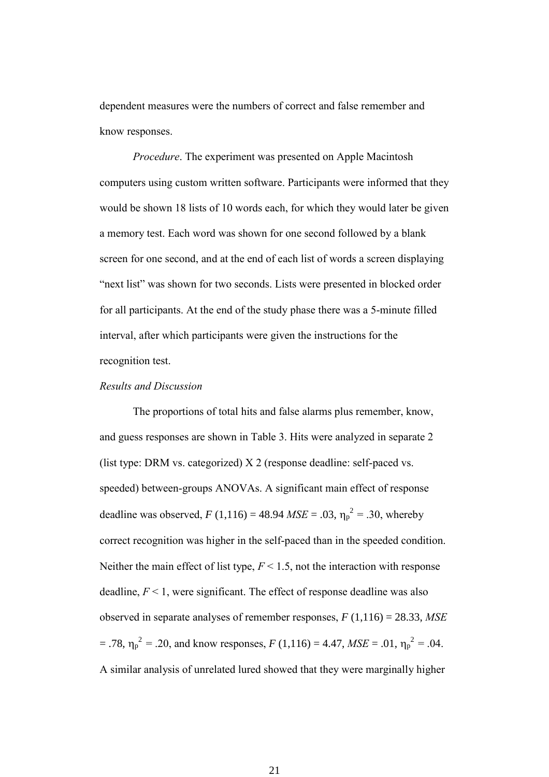dependent measures were the numbers of correct and false remember and know responses.

*Procedure*. The experiment was presented on Apple Macintosh computers using custom written software. Participants were informed that they would be shown 18 lists of 10 words each, for which they would later be given a memory test. Each word was shown for one second followed by a blank screen for one second, and at the end of each list of words a screen displaying "next list" was shown for two seconds. Lists were presented in blocked order for all participants. At the end of the study phase there was a 5-minute filled interval, after which participants were given the instructions for the recognition test.

#### *Results and Discussion*

The proportions of total hits and false alarms plus remember, know, and guess responses are shown in Table 3. Hits were analyzed in separate 2 (list type: DRM vs. categorized) X 2 (response deadline: self-paced vs. speeded) between-groups ANOVAs. A significant main effect of response deadline was observed,  $F(1,116) = 48.94$  *MSE* = .03,  $\eta_p^2 = .30$ , whereby correct recognition was higher in the self-paced than in the speeded condition. Neither the main effect of list type, *F* < 1.5, not the interaction with response deadline,  $F < 1$ , were significant. The effect of response deadline was also observed in separate analyses of remember responses, *F* (1,116) = 28.33, *MSE*  $= .78$ ,  $\eta_p^2 = .20$ , and know responses,  $F(1,116) = 4.47$ ,  $MSE = .01$ ,  $\eta_p^2 = .04$ . A similar analysis of unrelated lured showed that they were marginally higher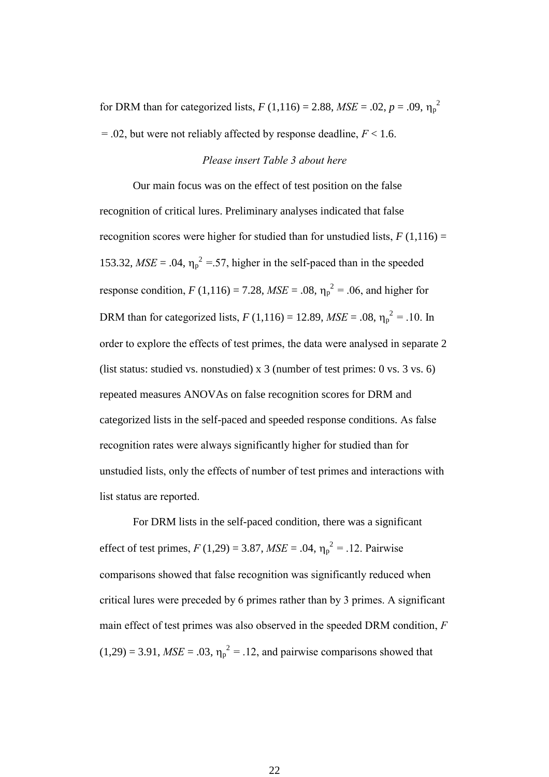for DRM than for categorized lists,  $F(1,116) = 2.88$ ,  $MSE = .02$ ,  $p = .09$ ,  $\eta_p^2$  $= .02$ , but were not reliably affected by response deadline,  $F < 1.6$ .

# *Please insert Table 3 about here*

Our main focus was on the effect of test position on the false recognition of critical lures. Preliminary analyses indicated that false recognition scores were higher for studied than for unstudied lists,  $F(1,116) =$ 153.32,  $MSE = .04$ ,  $\eta_p^2 = .57$ , higher in the self-paced than in the speeded response condition,  $F(1,116) = 7.28$ ,  $MSE = .08$ ,  $\eta_p^2 = .06$ , and higher for DRM than for categorized lists,  $F(1,116) = 12.89$ ,  $MSE = .08$ ,  $\eta_p^2 = .10$ . In order to explore the effects of test primes, the data were analysed in separate 2 (list status: studied vs. nonstudied) x 3 (number of test primes: 0 vs. 3 vs. 6) repeated measures ANOVAs on false recognition scores for DRM and categorized lists in the self-paced and speeded response conditions. As false recognition rates were always significantly higher for studied than for unstudied lists, only the effects of number of test primes and interactions with list status are reported.

For DRM lists in the self-paced condition, there was a significant effect of test primes,  $F(1,29) = 3.87$ ,  $MSE = .04$ ,  $\eta_p^2 = .12$ . Pairwise comparisons showed that false recognition was significantly reduced when critical lures were preceded by 6 primes rather than by 3 primes. A significant main effect of test primes was also observed in the speeded DRM condition, *F*  $(1,29) = 3.91$ , *MSE* = .03,  $\eta_p^2 = 0.12$ , and pairwise comparisons showed that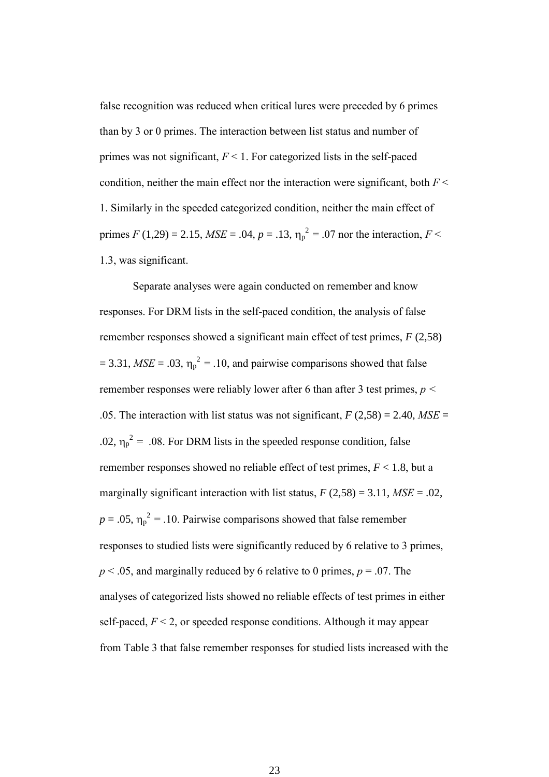false recognition was reduced when critical lures were preceded by 6 primes than by 3 or 0 primes. The interaction between list status and number of primes was not significant, *F* < 1. For categorized lists in the self-paced condition, neither the main effect nor the interaction were significant, both  $F <$ 1. Similarly in the speeded categorized condition, neither the main effect of primes *F* (1,29) = 2.15, *MSE* = .04, *p* = .13,  $\eta_p^2$  = .07 nor the interaction, *F* < 1.3, was significant.

Separate analyses were again conducted on remember and know responses. For DRM lists in the self-paced condition, the analysis of false remember responses showed a significant main effect of test primes, *F* (2,58)  $= 3.31$ , *MSE* = .03,  $\eta_p^2 = 0.10$ , and pairwise comparisons showed that false remember responses were reliably lower after 6 than after 3 test primes, *p <* .05. The interaction with list status was not significant,  $F(2,58) = 2.40$ ,  $MSE =$ .02,  $\eta_p^2$  = .08. For DRM lists in the speeded response condition, false remember responses showed no reliable effect of test primes, *F* < 1.8, but a marginally significant interaction with list status,  $F(2,58) = 3.11$ ,  $MSE = .02$ ,  $p = .05$ ,  $\eta_p^2 = .10$ . Pairwise comparisons showed that false remember responses to studied lists were significantly reduced by 6 relative to 3 primes,  $p < .05$ , and marginally reduced by 6 relative to 0 primes,  $p = .07$ . The analyses of categorized lists showed no reliable effects of test primes in either self-paced,  $F < 2$ , or speeded response conditions. Although it may appear from Table 3 that false remember responses for studied lists increased with the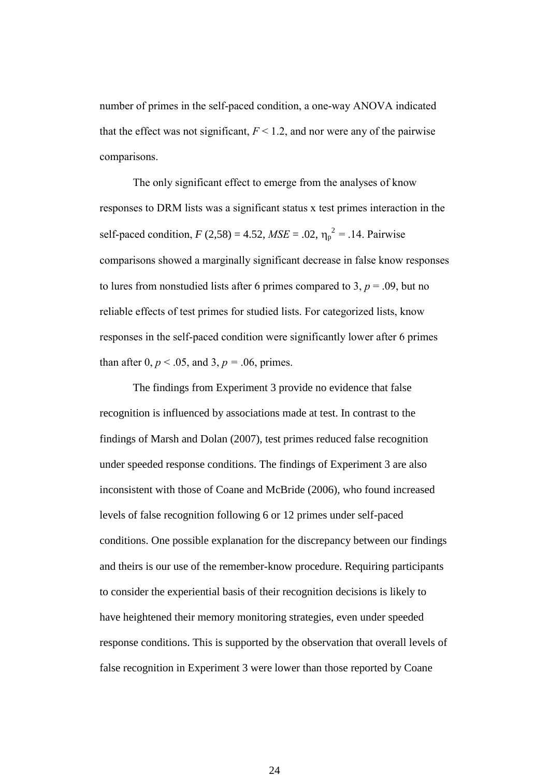number of primes in the self-paced condition, a one-way ANOVA indicated that the effect was not significant,  $F < 1.2$ , and nor were any of the pairwise comparisons.

The only significant effect to emerge from the analyses of know responses to DRM lists was a significant status x test primes interaction in the self-paced condition,  $F (2,58) = 4.52$ ,  $MSE = .02$ ,  $\eta_p^2 = .14$ . Pairwise comparisons showed a marginally significant decrease in false know responses to lures from nonstudied lists after 6 primes compared to 3,  $p = .09$ , but no reliable effects of test primes for studied lists. For categorized lists, know responses in the self-paced condition were significantly lower after 6 primes than after 0,  $p < .05$ , and 3,  $p = .06$ , primes.

The findings from Experiment 3 provide no evidence that false recognition is influenced by associations made at test. In contrast to the findings of Marsh and Dolan (2007), test primes reduced false recognition under speeded response conditions. The findings of Experiment 3 are also inconsistent with those of Coane and McBride (2006), who found increased levels of false recognition following 6 or 12 primes under self-paced conditions. One possible explanation for the discrepancy between our findings and theirs is our use of the remember-know procedure. Requiring participants to consider the experiential basis of their recognition decisions is likely to have heightened their memory monitoring strategies, even under speeded response conditions. This is supported by the observation that overall levels of false recognition in Experiment 3 were lower than those reported by Coane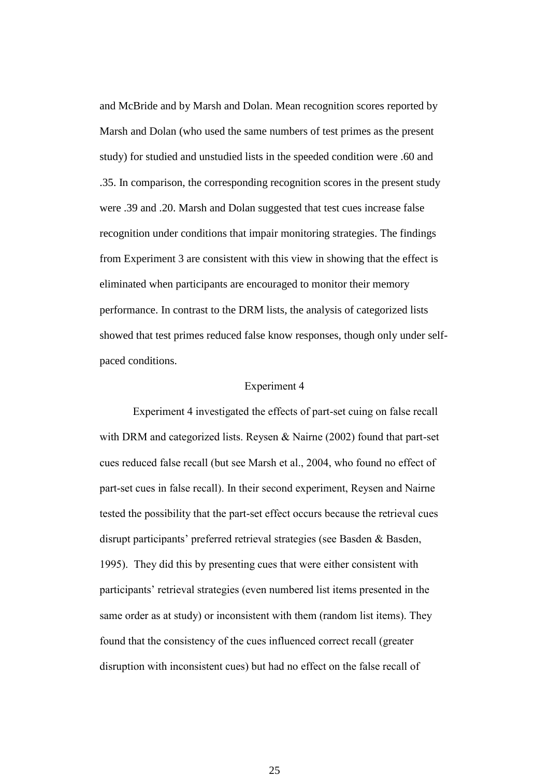and McBride and by Marsh and Dolan. Mean recognition scores reported by Marsh and Dolan (who used the same numbers of test primes as the present study) for studied and unstudied lists in the speeded condition were .60 and .35. In comparison, the corresponding recognition scores in the present study were .39 and .20. Marsh and Dolan suggested that test cues increase false recognition under conditions that impair monitoring strategies. The findings from Experiment 3 are consistent with this view in showing that the effect is eliminated when participants are encouraged to monitor their memory performance. In contrast to the DRM lists, the analysis of categorized lists showed that test primes reduced false know responses, though only under selfpaced conditions.

#### Experiment 4

Experiment 4 investigated the effects of part-set cuing on false recall with DRM and categorized lists. Reysen & Nairne (2002) found that part-set cues reduced false recall (but see Marsh et al., 2004, who found no effect of part-set cues in false recall). In their second experiment, Reysen and Nairne tested the possibility that the part-set effect occurs because the retrieval cues disrupt participants' preferred retrieval strategies (see Basden & Basden, 1995). They did this by presenting cues that were either consistent with participants' retrieval strategies (even numbered list items presented in the same order as at study) or inconsistent with them (random list items). They found that the consistency of the cues influenced correct recall (greater disruption with inconsistent cues) but had no effect on the false recall of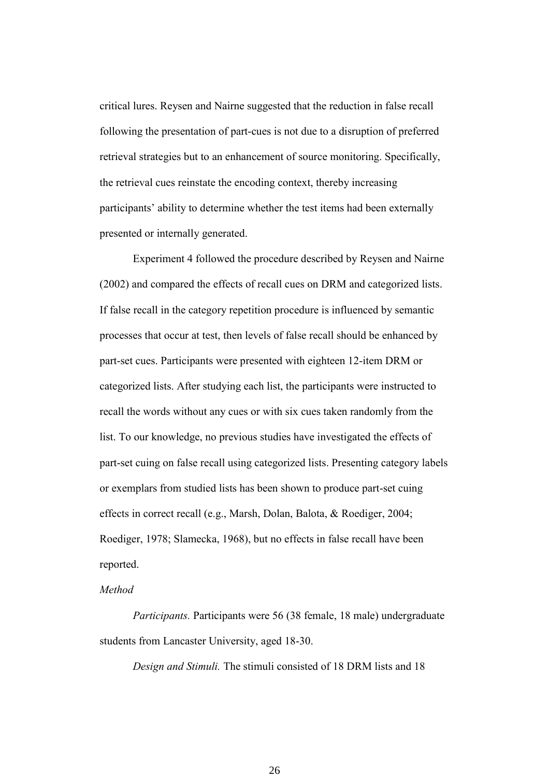critical lures. Reysen and Nairne suggested that the reduction in false recall following the presentation of part-cues is not due to a disruption of preferred retrieval strategies but to an enhancement of source monitoring. Specifically, the retrieval cues reinstate the encoding context, thereby increasing participants' ability to determine whether the test items had been externally presented or internally generated.

Experiment 4 followed the procedure described by Reysen and Nairne (2002) and compared the effects of recall cues on DRM and categorized lists. If false recall in the category repetition procedure is influenced by semantic processes that occur at test, then levels of false recall should be enhanced by part-set cues. Participants were presented with eighteen 12-item DRM or categorized lists. After studying each list, the participants were instructed to recall the words without any cues or with six cues taken randomly from the list. To our knowledge, no previous studies have investigated the effects of part-set cuing on false recall using categorized lists. Presenting category labels or exemplars from studied lists has been shown to produce part-set cuing effects in correct recall (e.g., Marsh, Dolan, Balota, & Roediger, 2004; Roediger, 1978; Slamecka, 1968), but no effects in false recall have been reported.

# *Method*

*Participants.* Participants were 56 (38 female, 18 male) undergraduate students from Lancaster University, aged 18-30.

*Design and Stimuli.* The stimuli consisted of 18 DRM lists and 18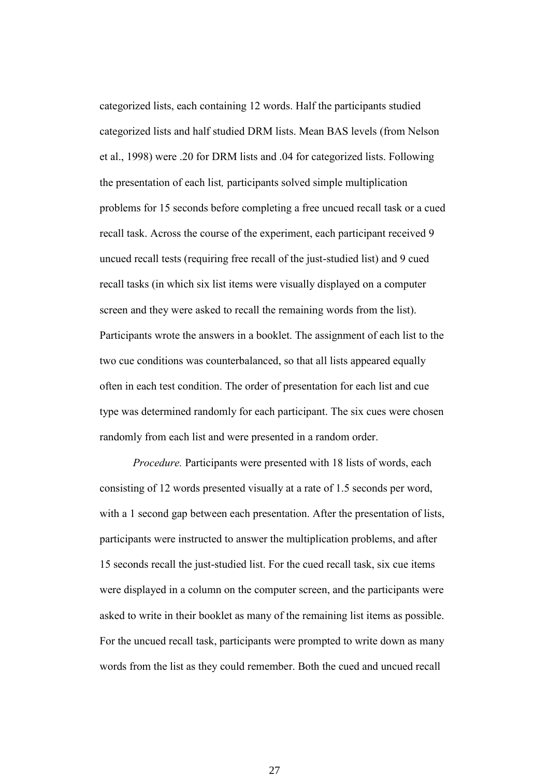categorized lists, each containing 12 words. Half the participants studied categorized lists and half studied DRM lists. Mean BAS levels (from Nelson et al., 1998) were .20 for DRM lists and .04 for categorized lists. Following the presentation of each list*,* participants solved simple multiplication problems for 15 seconds before completing a free uncued recall task or a cued recall task. Across the course of the experiment, each participant received 9 uncued recall tests (requiring free recall of the just-studied list) and 9 cued recall tasks (in which six list items were visually displayed on a computer screen and they were asked to recall the remaining words from the list). Participants wrote the answers in a booklet. The assignment of each list to the two cue conditions was counterbalanced, so that all lists appeared equally often in each test condition. The order of presentation for each list and cue type was determined randomly for each participant. The six cues were chosen randomly from each list and were presented in a random order.

*Procedure.* Participants were presented with 18 lists of words, each consisting of 12 words presented visually at a rate of 1.5 seconds per word, with a 1 second gap between each presentation. After the presentation of lists, participants were instructed to answer the multiplication problems, and after 15 seconds recall the just-studied list. For the cued recall task, six cue items were displayed in a column on the computer screen, and the participants were asked to write in their booklet as many of the remaining list items as possible. For the uncued recall task, participants were prompted to write down as many words from the list as they could remember. Both the cued and uncued recall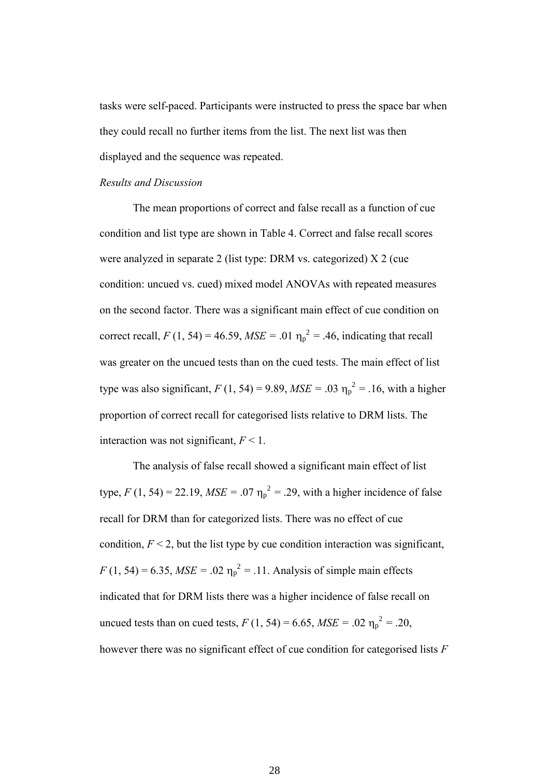tasks were self-paced. Participants were instructed to press the space bar when they could recall no further items from the list. The next list was then displayed and the sequence was repeated.

#### *Results and Discussion*

The mean proportions of correct and false recall as a function of cue condition and list type are shown in Table 4. Correct and false recall scores were analyzed in separate 2 (list type: DRM vs. categorized) X 2 (cue condition: uncued vs. cued) mixed model ANOVAs with repeated measures on the second factor. There was a significant main effect of cue condition on correct recall,  $F(1, 54) = 46.59$ ,  $MSE = .01$   $\eta_p^2 = .46$ , indicating that recall was greater on the uncued tests than on the cued tests. The main effect of list type was also significant,  $F(1, 54) = 9.89$ ,  $MSE = .03$   $\eta_p^2 = .16$ , with a higher proportion of correct recall for categorised lists relative to DRM lists. The interaction was not significant,  $F < 1$ .

The analysis of false recall showed a significant main effect of list type,  $F(1, 54) = 22.19$ ,  $MSE = .07 \eta_p^2 = .29$ , with a higher incidence of false recall for DRM than for categorized lists. There was no effect of cue condition,  $F < 2$ , but the list type by cue condition interaction was significant,  $F(1, 54) = 6.35$ ,  $MSE = .02$   $\eta_p^2 = .11$ . Analysis of simple main effects indicated that for DRM lists there was a higher incidence of false recall on uncued tests than on cued tests,  $F(1, 54) = 6.65$ ,  $MSE = .02$   $\eta_p^2 = .20$ , however there was no significant effect of cue condition for categorised lists *F*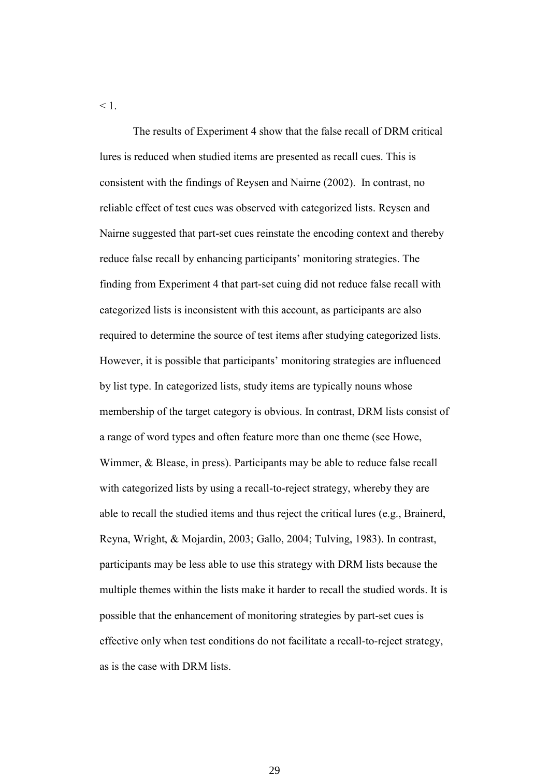$\leq 1$ .

The results of Experiment 4 show that the false recall of DRM critical lures is reduced when studied items are presented as recall cues. This is consistent with the findings of Reysen and Nairne (2002). In contrast, no reliable effect of test cues was observed with categorized lists. Reysen and Nairne suggested that part-set cues reinstate the encoding context and thereby reduce false recall by enhancing participants' monitoring strategies. The finding from Experiment 4 that part-set cuing did not reduce false recall with categorized lists is inconsistent with this account, as participants are also required to determine the source of test items after studying categorized lists. However, it is possible that participants' monitoring strategies are influenced by list type. In categorized lists, study items are typically nouns whose membership of the target category is obvious. In contrast, DRM lists consist of a range of word types and often feature more than one theme (see Howe, Wimmer, & Blease, in press). Participants may be able to reduce false recall with categorized lists by using a recall-to-reject strategy, whereby they are able to recall the studied items and thus reject the critical lures (e.g., Brainerd, Reyna, Wright, & Mojardin, 2003; Gallo, 2004; Tulving, 1983). In contrast, participants may be less able to use this strategy with DRM lists because the multiple themes within the lists make it harder to recall the studied words. It is possible that the enhancement of monitoring strategies by part-set cues is effective only when test conditions do not facilitate a recall-to-reject strategy, as is the case with DRM lists.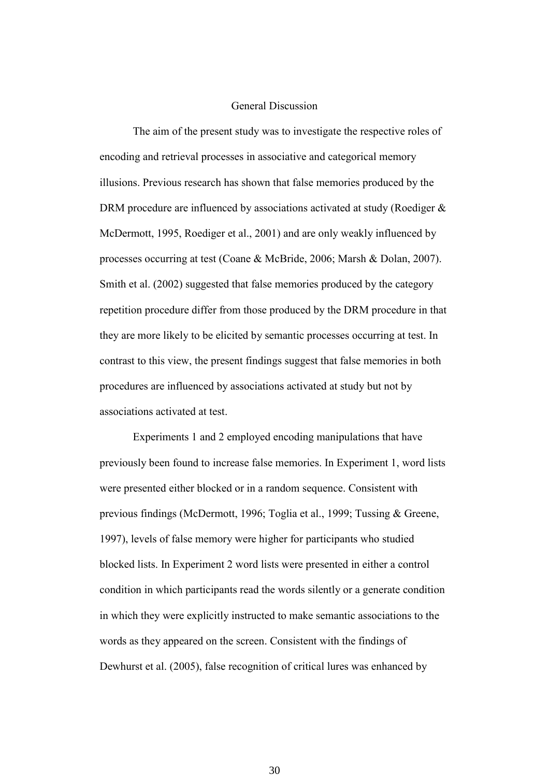#### General Discussion

The aim of the present study was to investigate the respective roles of encoding and retrieval processes in associative and categorical memory illusions. Previous research has shown that false memories produced by the DRM procedure are influenced by associations activated at study (Roediger  $\&$ McDermott, 1995, Roediger et al., 2001) and are only weakly influenced by processes occurring at test (Coane & McBride, 2006; Marsh & Dolan, 2007). Smith et al. (2002) suggested that false memories produced by the category repetition procedure differ from those produced by the DRM procedure in that they are more likely to be elicited by semantic processes occurring at test. In contrast to this view, the present findings suggest that false memories in both procedures are influenced by associations activated at study but not by associations activated at test.

Experiments 1 and 2 employed encoding manipulations that have previously been found to increase false memories. In Experiment 1, word lists were presented either blocked or in a random sequence. Consistent with previous findings (McDermott, 1996; Toglia et al., 1999; Tussing & Greene, 1997), levels of false memory were higher for participants who studied blocked lists. In Experiment 2 word lists were presented in either a control condition in which participants read the words silently or a generate condition in which they were explicitly instructed to make semantic associations to the words as they appeared on the screen. Consistent with the findings of Dewhurst et al. (2005), false recognition of critical lures was enhanced by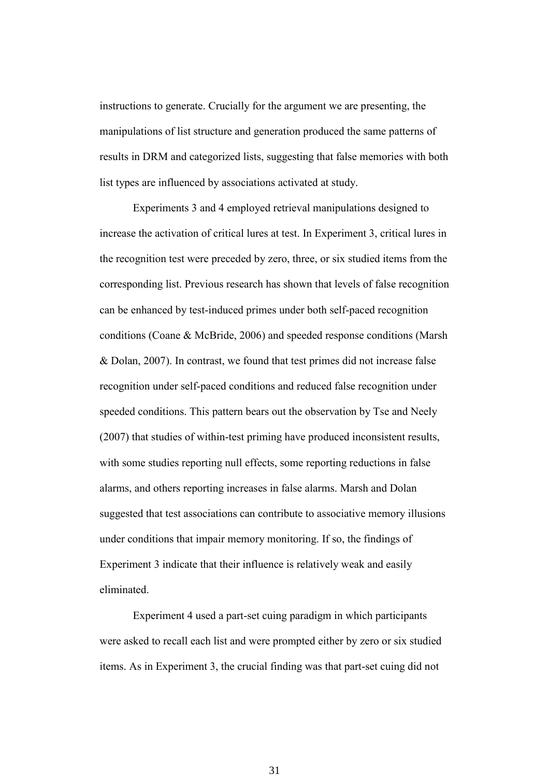instructions to generate. Crucially for the argument we are presenting, the manipulations of list structure and generation produced the same patterns of results in DRM and categorized lists, suggesting that false memories with both list types are influenced by associations activated at study.

Experiments 3 and 4 employed retrieval manipulations designed to increase the activation of critical lures at test. In Experiment 3, critical lures in the recognition test were preceded by zero, three, or six studied items from the corresponding list. Previous research has shown that levels of false recognition can be enhanced by test-induced primes under both self-paced recognition conditions (Coane & McBride, 2006) and speeded response conditions (Marsh & Dolan, 2007). In contrast, we found that test primes did not increase false recognition under self-paced conditions and reduced false recognition under speeded conditions. This pattern bears out the observation by Tse and Neely (2007) that studies of within-test priming have produced inconsistent results, with some studies reporting null effects, some reporting reductions in false alarms, and others reporting increases in false alarms. Marsh and Dolan suggested that test associations can contribute to associative memory illusions under conditions that impair memory monitoring. If so, the findings of Experiment 3 indicate that their influence is relatively weak and easily eliminated.

Experiment 4 used a part-set cuing paradigm in which participants were asked to recall each list and were prompted either by zero or six studied items. As in Experiment 3, the crucial finding was that part-set cuing did not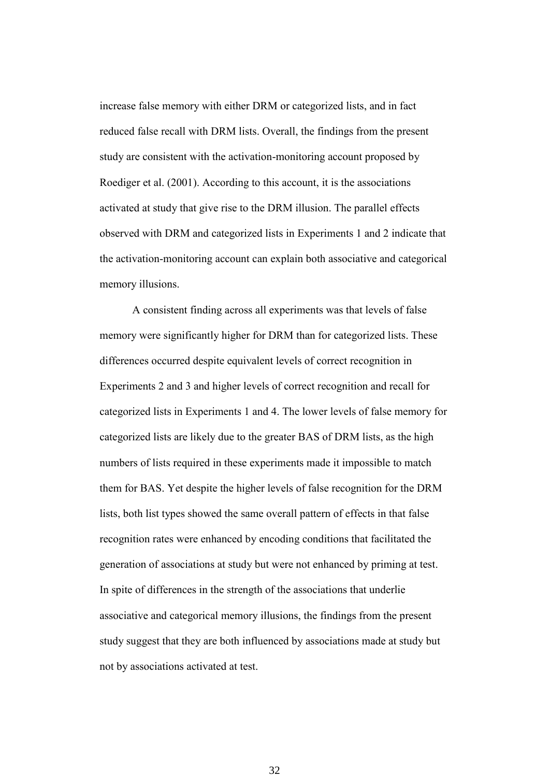increase false memory with either DRM or categorized lists, and in fact reduced false recall with DRM lists. Overall, the findings from the present study are consistent with the activation-monitoring account proposed by Roediger et al. (2001). According to this account, it is the associations activated at study that give rise to the DRM illusion. The parallel effects observed with DRM and categorized lists in Experiments 1 and 2 indicate that the activation-monitoring account can explain both associative and categorical memory illusions.

A consistent finding across all experiments was that levels of false memory were significantly higher for DRM than for categorized lists. These differences occurred despite equivalent levels of correct recognition in Experiments 2 and 3 and higher levels of correct recognition and recall for categorized lists in Experiments 1 and 4. The lower levels of false memory for categorized lists are likely due to the greater BAS of DRM lists, as the high numbers of lists required in these experiments made it impossible to match them for BAS. Yet despite the higher levels of false recognition for the DRM lists, both list types showed the same overall pattern of effects in that false recognition rates were enhanced by encoding conditions that facilitated the generation of associations at study but were not enhanced by priming at test. In spite of differences in the strength of the associations that underlie associative and categorical memory illusions, the findings from the present study suggest that they are both influenced by associations made at study but not by associations activated at test.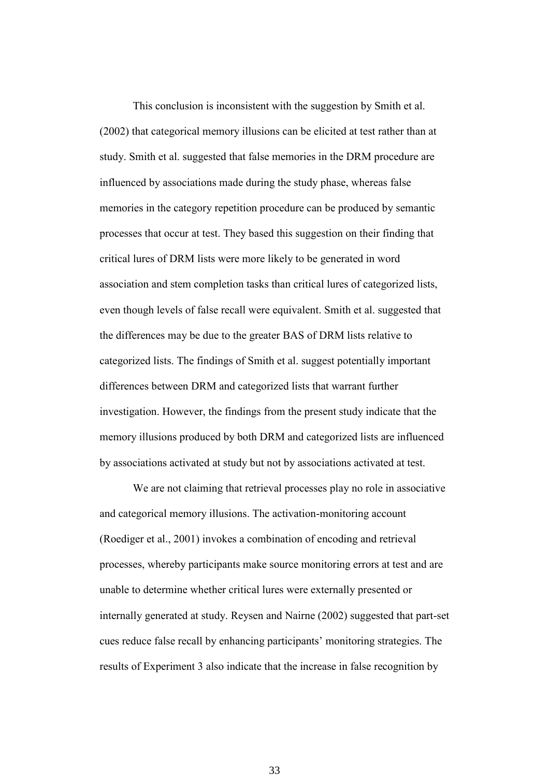This conclusion is inconsistent with the suggestion by Smith et al. (2002) that categorical memory illusions can be elicited at test rather than at study. Smith et al. suggested that false memories in the DRM procedure are influenced by associations made during the study phase, whereas false memories in the category repetition procedure can be produced by semantic processes that occur at test. They based this suggestion on their finding that critical lures of DRM lists were more likely to be generated in word association and stem completion tasks than critical lures of categorized lists, even though levels of false recall were equivalent. Smith et al. suggested that the differences may be due to the greater BAS of DRM lists relative to categorized lists. The findings of Smith et al. suggest potentially important differences between DRM and categorized lists that warrant further investigation. However, the findings from the present study indicate that the memory illusions produced by both DRM and categorized lists are influenced by associations activated at study but not by associations activated at test.

We are not claiming that retrieval processes play no role in associative and categorical memory illusions. The activation-monitoring account (Roediger et al., 2001) invokes a combination of encoding and retrieval processes, whereby participants make source monitoring errors at test and are unable to determine whether critical lures were externally presented or internally generated at study. Reysen and Nairne (2002) suggested that part-set cues reduce false recall by enhancing participants' monitoring strategies. The results of Experiment 3 also indicate that the increase in false recognition by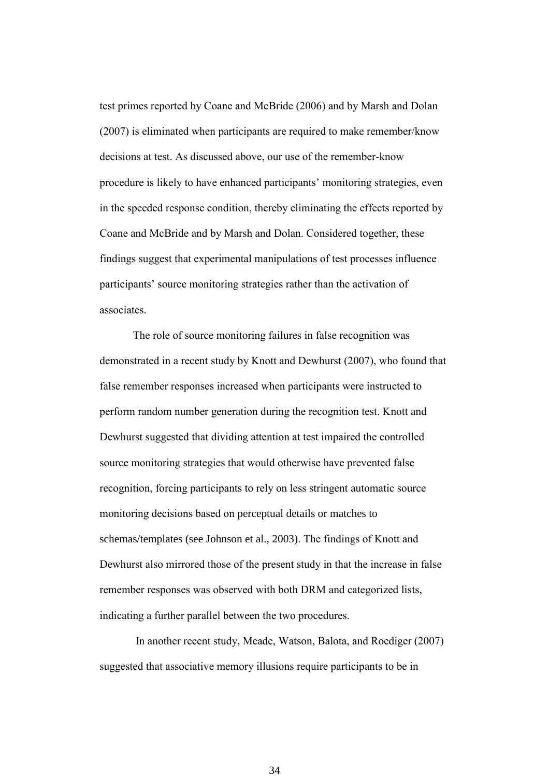test primes reported by Coane and McBride (2006) and by Marsh and Dolan (2007) is eliminated when participants are required to make remember/know decisions at test. As discussed above, our use of the remember-know procedure is likely to have enhanced participants' monitoring strategies, even in the speeded response condition, thereby eliminating the effects reported by Coane and McBride and by Marsh and Dolan. Considered together, these findings suggest that experimental manipulations of test processes influence participants' source monitoring strategies rather than the activation of associates.

The role of source monitoring failures in false recognition was demonstrated in a recent study by Knott and Dewhurst (2007), who found that false remember responses increased when participants were instructed to perform random number generation during the recognition test. Knott and Dewhurst suggested that dividing attention at test impaired the controlled source monitoring strategies that would otherwise have prevented false recognition, forcing participants to rely on less stringent automatic source monitoring decisions based on perceptual details or matches to schemas/templates (see Johnson et al., 2003). The findings of Knott and Dewhurst also mirrored those of the present study in that the increase in false remember responses was observed with both DRM and categorized lists, indicating a further parallel between the two procedures.

In another recent study, Meade, Watson, Balota, and Roediger (2007) suggested that associative memory illusions require participants to be in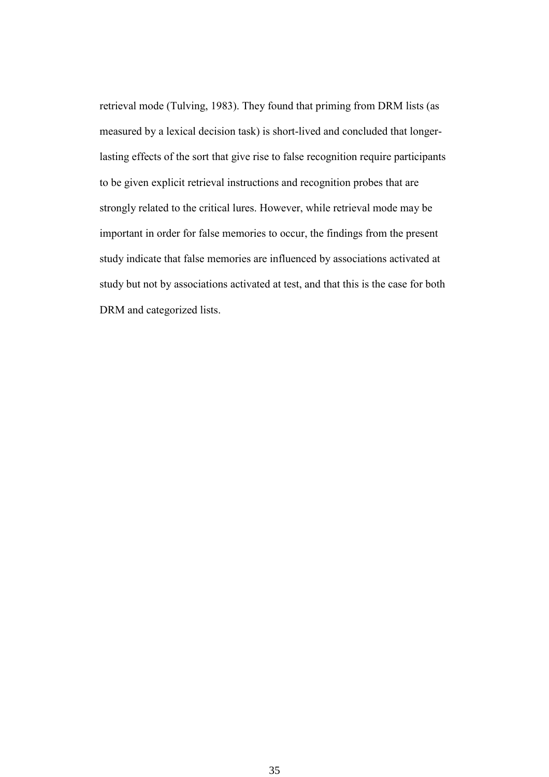retrieval mode (Tulving, 1983). They found that priming from DRM lists (as measured by a lexical decision task) is short-lived and concluded that longerlasting effects of the sort that give rise to false recognition require participants to be given explicit retrieval instructions and recognition probes that are strongly related to the critical lures. However, while retrieval mode may be important in order for false memories to occur, the findings from the present study indicate that false memories are influenced by associations activated at study but not by associations activated at test, and that this is the case for both DRM and categorized lists.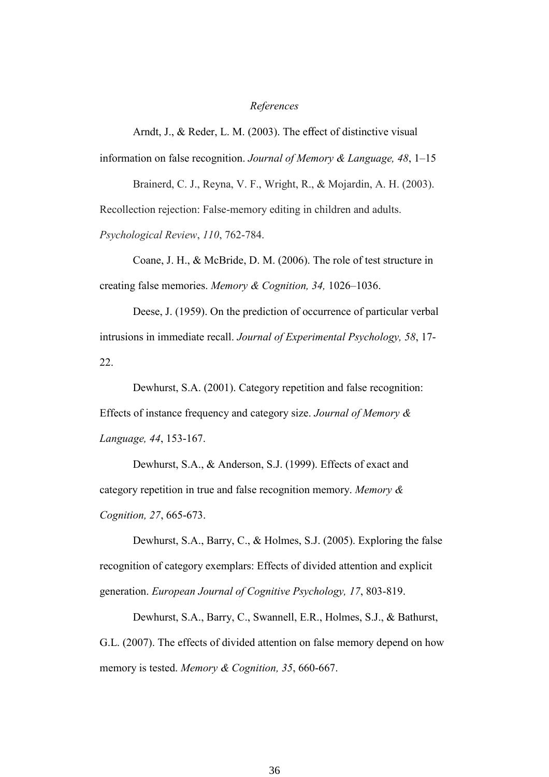#### *References*

Arndt, J., & Reder, L. M. (2003). The effect of distinctive visual

information on false recognition. *Journal of Memory & Language, 48*, 1–15

Brainerd, C. J., Reyna, V. F., Wright, R., & Mojardin, A. H. (2003).

Recollection rejection: False-memory editing in children and adults.

*Psychological Review*, *110*, 762-784.

Coane, J. H., & McBride, D. M. (2006). The role of test structure in creating false memories. *Memory & Cognition, 34,* 1026–1036.

Deese, J. (1959). On the prediction of occurrence of particular verbal intrusions in immediate recall. *Journal of Experimental Psychology, 58*, 17- 22.

Dewhurst, S.A. (2001). Category repetition and false recognition: Effects of instance frequency and category size. *Journal of Memory & Language, 44*, 153-167.

Dewhurst, S.A., & Anderson, S.J. (1999). Effects of exact and category repetition in true and false recognition memory. *Memory & Cognition, 27*, 665-673.

Dewhurst, S.A., Barry, C., & Holmes, S.J. (2005). Exploring the false recognition of category exemplars: Effects of divided attention and explicit generation. *European Journal of Cognitive Psychology, 17*, 803-819.

Dewhurst, S.A., Barry, C., Swannell, E.R., Holmes, S.J., & Bathurst, G.L. (2007). The effects of divided attention on false memory depend on how memory is tested. *Memory & Cognition, 35*, 660-667.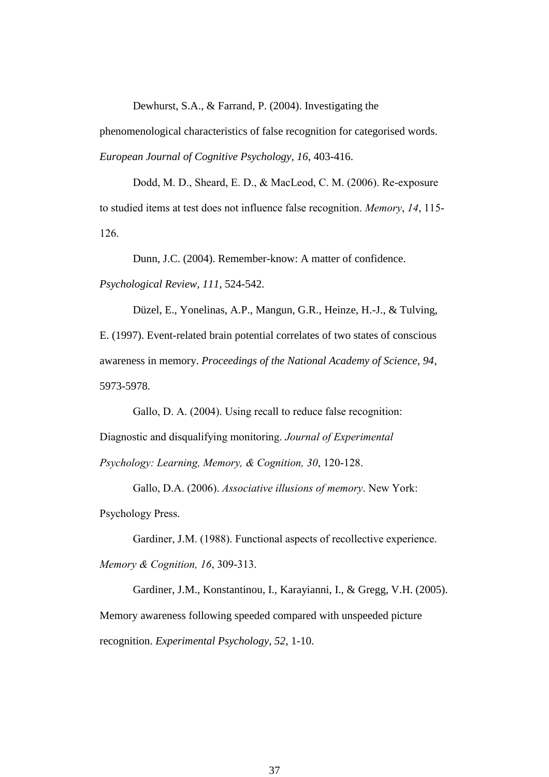Dewhurst, S.A., & Farrand, P. (2004). Investigating the

phenomenological characteristics of false recognition for categorised words*. European Journal of Cognitive Psychology, 16*, 403-416.

Dodd, M. D., Sheard, E. D., & MacLeod, C. M. (2006). Re-exposure to studied items at test does not influence false recognition. *Memory*, *14*, 115- 126.

Dunn, J.C. (2004). Remember-know: A matter of confidence.

*Psychological Review, 111*, 524-542.

Düzel, E., Yonelinas, A.P., Mangun, G.R., Heinze, H.-J., & Tulving, E. (1997). Event-related brain potential correlates of two states of conscious awareness in memory. *Proceedings of the National Academy of Science, 94*, 5973-5978.

Gallo, D. A. (2004). Using recall to reduce false recognition: Diagnostic and disqualifying monitoring. *Journal of Experimental Psychology: Learning, Memory, & Cognition, 30*, 120-128.

Gallo, D.A. (2006). *Associative illusions of memory*. New York: Psychology Press.

Gardiner, J.M. (1988). Functional aspects of recollective experience. *Memory & Cognition, 16*, 309-313.

Gardiner, J.M., Konstantinou, I., Karayianni, I., & Gregg, V.H. (2005). Memory awareness following speeded compared with unspeeded picture recognition. *Experimental Psychology, 52,* 1-10.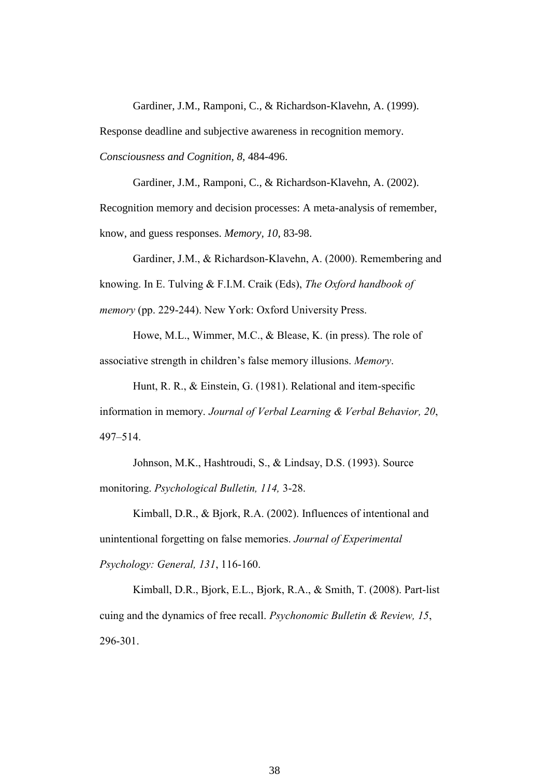Gardiner, J.M., Ramponi, C., & Richardson-Klavehn, A. (1999).

Response deadline and subjective awareness in recognition memory.

*Consciousness and Cognition, 8,* 484-496.

Gardiner, J.M., Ramponi, C., & Richardson-Klavehn, A. (2002). Recognition memory and decision processes: A meta-analysis of remember, know, and guess responses. *Memory, 10*, 83-98.

Gardiner, J.M., & Richardson-Klavehn, A. (2000). Remembering and knowing. In E. Tulving & F.I.M. Craik (Eds), *The Oxford handbook of memory* (pp. 229-244). New York: Oxford University Press.

Howe, M.L., Wimmer, M.C., & Blease, K. (in press). The role of associative strength in children's false memory illusions. *Memory*.

Hunt, R. R., & Einstein, G. (1981). Relational and item-specific information in memory. *Journal of Verbal Learning & Verbal Behavior, 20*, 497–514.

Johnson, M.K., Hashtroudi, S., & Lindsay, D.S. (1993). Source monitoring. *Psychological Bulletin, 114,* 3-28.

Kimball, D.R., & Bjork, R.A. (2002). Influences of intentional and unintentional forgetting on false memories. *Journal of Experimental Psychology: General, 131*, 116-160.

Kimball, D.R., Bjork, E.L., Bjork, R.A., & Smith, T. (2008). Part-list cuing and the dynamics of free recall. *Psychonomic Bulletin & Review, 15*, 296-301.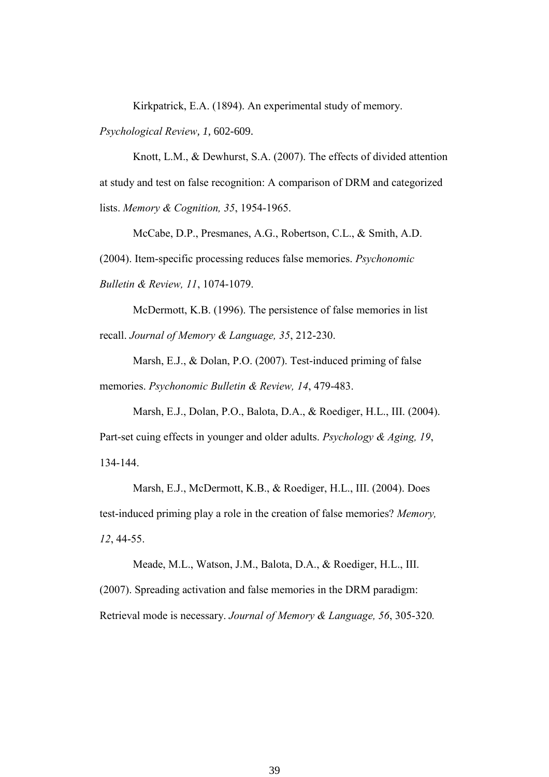Kirkpatrick, E.A. (1894). An experimental study of memory.

*Psychological Review, 1*, 602-609.

Knott, L.M., & Dewhurst, S.A. (2007). The effects of divided attention at study and test on false recognition: A comparison of DRM and categorized lists. *Memory & Cognition, 35*, 1954-1965.

McCabe, D.P., Presmanes, A.G., Robertson, C.L., & Smith, A.D. (2004). Item-specific processing reduces false memories. *Psychonomic Bulletin & Review, 11*, 1074-1079.

McDermott, K.B. (1996). The persistence of false memories in list recall. *Journal of Memory & Language, 35*, 212-230.

Marsh, E.J., & Dolan, P.O. (2007). Test-induced priming of false memories. *Psychonomic Bulletin & Review, 14*, 479-483.

Marsh, E.J., Dolan, P.O., Balota, D.A., & Roediger, H.L., III. (2004). Part-set cuing effects in younger and older adults. *Psychology & Aging, 19*, 134-144.

Marsh, E.J., McDermott, K.B., & Roediger, H.L., III. (2004). Does test-induced priming play a role in the creation of false memories? *Memory, 12*, 44-55.

Meade, M.L., Watson, J.M., Balota, D.A., & Roediger, H.L., III. (2007). Spreading activation and false memories in the DRM paradigm: Retrieval mode is necessary. *Journal of Memory & Language, 56*, 305-320*.*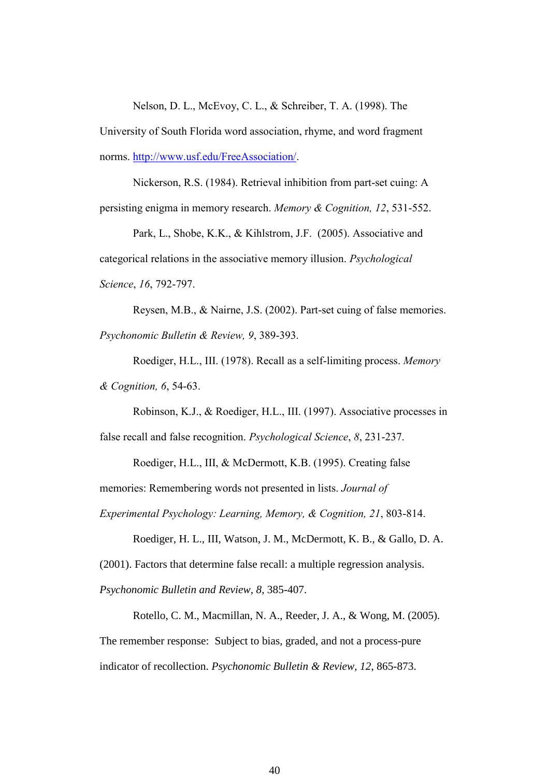Nelson, D. L., McEvoy, C. L., & Schreiber, T. A. (1998). The

University of South Florida word association, rhyme, and word fragment norms. [http://www.usf.edu/FreeAssociation/.](http://www.usf.edu/FreeAssociation/)

Nickerson, R.S. (1984). Retrieval inhibition from part-set cuing: A persisting enigma in memory research. *Memory & Cognition, 12*, 531-552.

Park, L., Shobe, K.K., & Kihlstrom, J.F. (2005). Associative and categorical relations in the associative memory illusion. *Psychological Science*, *16*, 792-797.

Reysen, M.B., & Nairne, J.S. (2002). Part-set cuing of false memories. *Psychonomic Bulletin & Review, 9*, 389-393.

Roediger, H.L., III. (1978). Recall as a self-limiting process. *Memory & Cognition, 6*, 54-63.

Robinson, K.J., & Roediger, H.L., III. (1997). Associative processes in false recall and false recognition. *Psychological Science*, *8*, 231-237.

Roediger, H.L., III, & McDermott, K.B. (1995). Creating false

memories: Remembering words not presented in lists. *Journal of* 

*Experimental Psychology: Learning, Memory, & Cognition, 21*, 803-814.

Roediger, H. L., III, Watson, J. M., McDermott, K. B., & Gallo, D. A.

(2001). Factors that determine false recall: a multiple regression analysis.

*Psychonomic Bulletin and Review, 8*, 385-407.

Rotello, C. M., Macmillan, N. A., Reeder, J. A., & Wong, M. (2005). The remember response: Subject to bias, graded, and not a process-pure indicator of recollection. *Psychonomic Bulletin & Review, 12*, 865-873.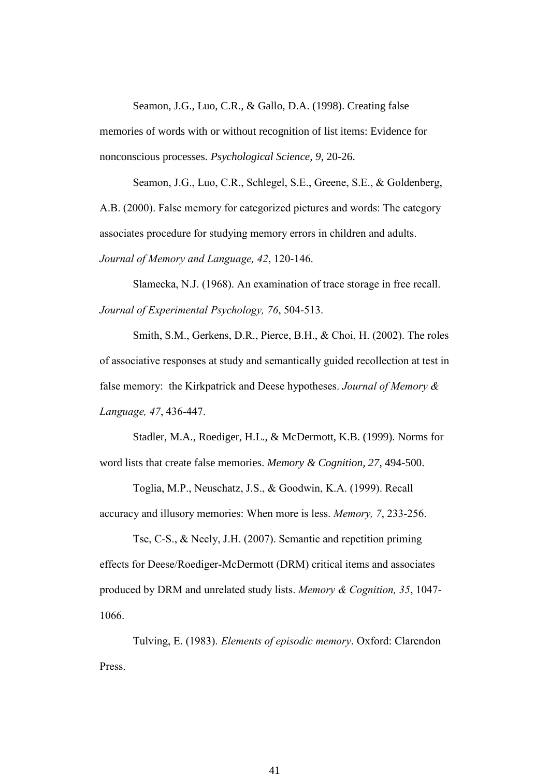Seamon, J.G., Luo, C.R., & Gallo, D.A. (1998). Creating false

memories of words with or without recognition of list items: Evidence for nonconscious processes. *Psychological Science, 9*, 20-26.

Seamon, J.G., Luo, C.R., Schlegel, S.E., Greene, S.E., & Goldenberg, A.B. (2000). False memory for categorized pictures and words: The category associates procedure for studying memory errors in children and adults. *Journal of Memory and Language, 42*, 120-146.

Slamecka, N.J. (1968). An examination of trace storage in free recall. *Journal of Experimental Psychology, 76*, 504-513.

Smith, S.M., Gerkens, D.R., Pierce, B.H., & Choi, H. (2002). The roles of associative responses at study and semantically guided recollection at test in false memory: the Kirkpatrick and Deese hypotheses. *Journal of Memory & Language, 47*, 436-447.

Stadler, M.A., Roediger, H.L., & McDermott, K.B. (1999). Norms for word lists that create false memories. *Memory & Cognition, 27*, 494-500.

Toglia, M.P., Neuschatz, J.S., & Goodwin, K.A. (1999). Recall accuracy and illusory memories: When more is less. *Memory, 7*, 233-256.

Tse, C-S., & Neely, J.H. (2007). Semantic and repetition priming effects for Deese/Roediger-McDermott (DRM) critical items and associates produced by DRM and unrelated study lists. *Memory & Cognition, 35*, 1047- 1066.

Tulving, E. (1983). *Elements of episodic memory*. Oxford: Clarendon Press.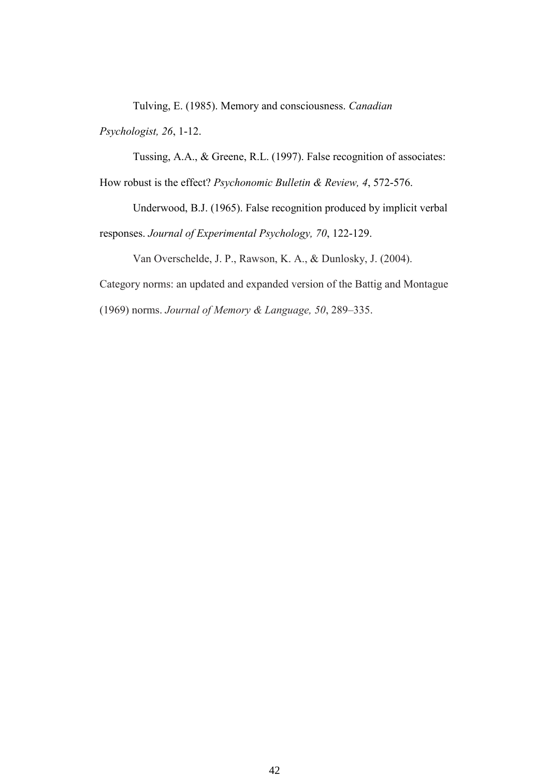Tulving, E. (1985). Memory and consciousness. *Canadian* 

*Psychologist, 26*, 1-12.

Tussing, A.A., & Greene, R.L. (1997). False recognition of associates:

How robust is the effect? *Psychonomic Bulletin & Review, 4*, 572-576.

Underwood, B.J. (1965). False recognition produced by implicit verbal responses. *Journal of Experimental Psychology, 70*, 122-129.

Van Overschelde, J. P., Rawson, K. A., & Dunlosky, J. (2004).

Category norms: an updated and expanded version of the Battig and Montague

(1969) norms. *Journal of Memory & Language, 50*, 289–335.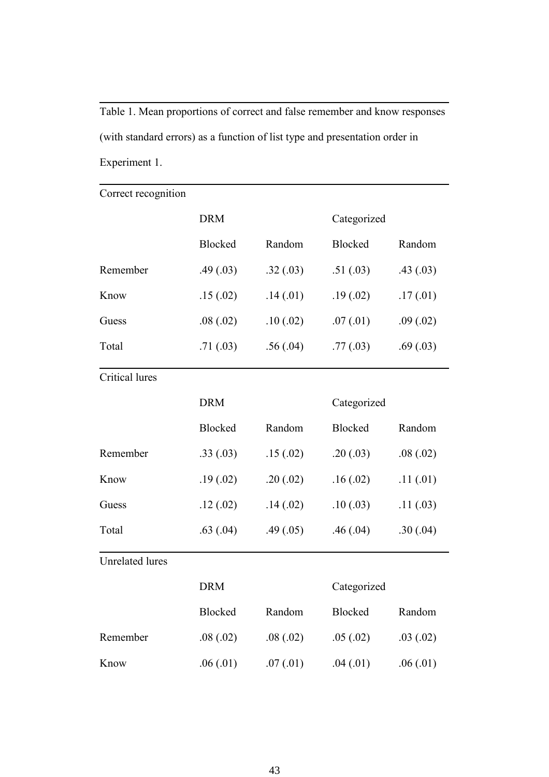Table 1. Mean proportions of correct and false remember and know responses (with standard errors) as a function of list type and presentation order in Experiment 1.

| Correct recognition    |            |           |             |           |  |
|------------------------|------------|-----------|-------------|-----------|--|
|                        | <b>DRM</b> |           | Categorized |           |  |
|                        | Blocked    | Random    | Blocked     | Random    |  |
| Remember               | .49(03)    | .32(.03)  | .51(.03)    | .43(0.03) |  |
| Know                   | .15(.02)   | .14(.01)  | .19(.02)    | .17(.01)  |  |
| Guess                  | .08(.02)   | .10(.02)  | .07(01)     | .09(.02)  |  |
| Total                  | .71(03)    | .56(.04)  | .77(03)     | .69(.03)  |  |
| <b>Critical lures</b>  |            |           |             |           |  |
|                        | <b>DRM</b> |           | Categorized |           |  |
|                        | Blocked    | Random    | Blocked     | Random    |  |
| Remember               | .33(.03)   | .15(.02)  | .20(.03)    | .08(.02)  |  |
| Know                   | .19(.02)   | .20(.02)  | .16(.02)    | .11(.01)  |  |
| Guess                  | .12(.02)   | .14(.02)  | .10(.03)    | .11(.03)  |  |
| Total                  | .63(.04)   | .49(0.05) | .46(.04)    | .30(.04)  |  |
| <b>Unrelated lures</b> |            |           |             |           |  |
|                        | <b>DRM</b> |           | Categorized |           |  |
|                        | Blocked    | Random    | Blocked     | Random    |  |
| Remember               | .08(.02)   | .08(.02)  | .05(.02)    | .03(.02)  |  |
| Know                   | .06(.01)   | .07(01)   | .04(.01)    | .06(.01)  |  |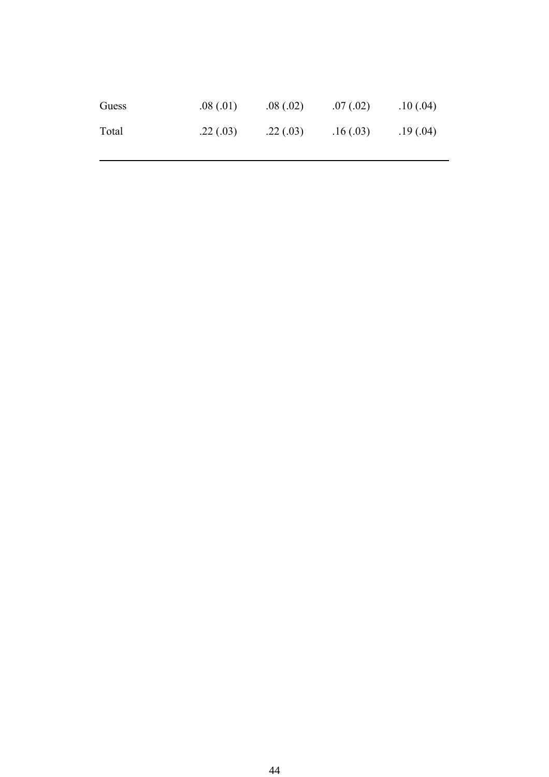| Guess | .08(0.01) | .08(.02) | .07(0.02) | .10(.04)  |
|-------|-----------|----------|-----------|-----------|
| Total | .22(.03)  | .22(.03) | .16(0.03) | .19(0.04) |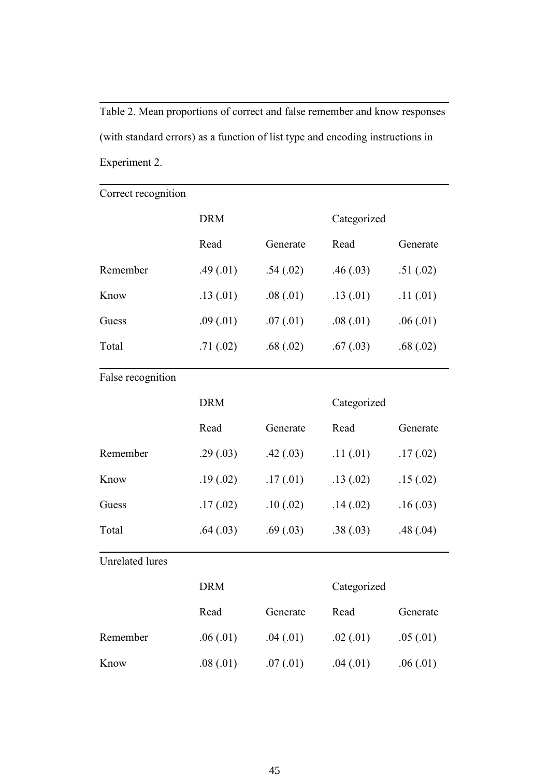Table 2. Mean proportions of correct and false remember and know responses (with standard errors) as a function of list type and encoding instructions in Experiment 2.

| Correct recognition    |            |           |             |          |  |
|------------------------|------------|-----------|-------------|----------|--|
|                        | <b>DRM</b> |           | Categorized |          |  |
|                        | Read       | Generate  | Read        | Generate |  |
| Remember               | .49(.01)   | .54(.02)  | .46(.03)    | .51(.02) |  |
| Know                   | .13(.01)   | .08(.01)  | .13(01)     | .11(.01) |  |
| Guess                  | .09(.01)   | .07(.01)  | .08(.01)    | .06(.01) |  |
| Total                  | .71(.02)   | .68(.02)  | .67(0.03)   | .68(.02) |  |
| False recognition      |            |           |             |          |  |
|                        | <b>DRM</b> |           | Categorized |          |  |
|                        | Read       | Generate  | Read        | Generate |  |
| Remember               | .29(.03)   | .42(.03)  | .11(.01)    | .17(.02) |  |
| Know                   | .19(0.02)  | .17(01)   | .13(.02)    | .15(.02) |  |
| Guess                  | .17(02)    | .10(0.02) | .14(.02)    | .16(.03) |  |
| Total                  | .64(.03)   | .69(.03)  | .38(.03)    | .48(.04) |  |
| <b>Unrelated lures</b> |            |           |             |          |  |
|                        | <b>DRM</b> |           | Categorized |          |  |
|                        | Read       | Generate  | Read        | Generate |  |
| Remember               | .06(.01)   | .04(.01)  | .02(.01)    | .05(01)  |  |
| Know                   | .08(.01)   | .07(01)   | .04(.01)    | .06(.01) |  |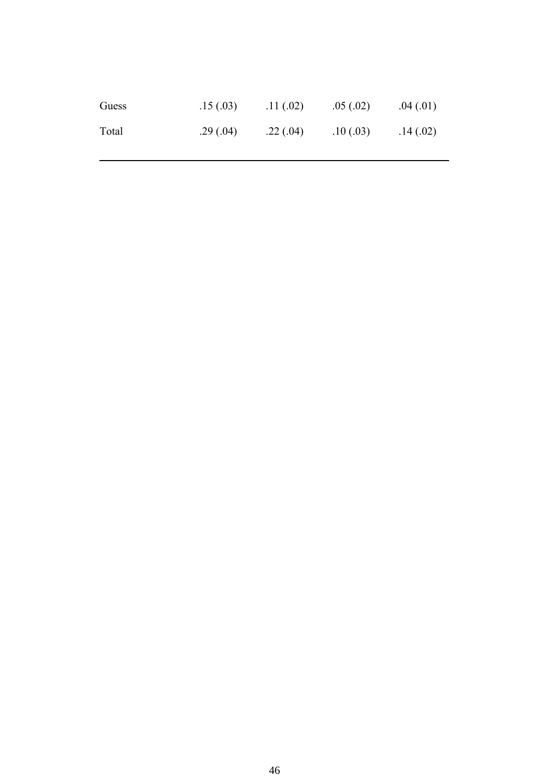| Guess | .15(0.03) | .11(.02) | .05(.02)  | .04(.01) |
|-------|-----------|----------|-----------|----------|
| Total | .29(.04)  | .22(.04) | .10(0.03) | .14(.02) |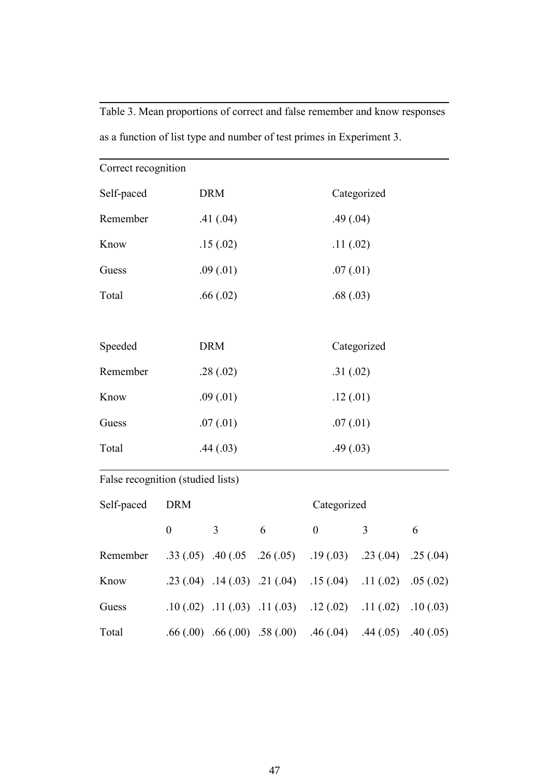Table 3. Mean proportions of correct and false remember and know responses as a function of list type and number of test primes in Experiment 3.

| Correct recognition               |                  |                                  |                                  |                  |                |           |  |
|-----------------------------------|------------------|----------------------------------|----------------------------------|------------------|----------------|-----------|--|
| Self-paced                        | <b>DRM</b>       |                                  |                                  |                  | Categorized    |           |  |
| Remember                          |                  | .41(.04)                         |                                  | .49(.04)         |                |           |  |
| Know                              |                  | .15(.02)                         |                                  | .11(.02)         |                |           |  |
| Guess                             |                  | .09(.01)                         |                                  | .07(01)          |                |           |  |
| Total                             |                  | .66(.02)                         |                                  | .68(.03)         |                |           |  |
|                                   |                  |                                  |                                  |                  |                |           |  |
| Speeded                           |                  | <b>DRM</b>                       |                                  |                  | Categorized    |           |  |
| Remember                          |                  | .28(.02)                         |                                  | .31(.02)         |                |           |  |
| Know                              |                  | .09(.01)                         |                                  | .12(.01)         |                |           |  |
| Guess                             | .07(01)          |                                  | .07(01)                          |                  |                |           |  |
| Total                             | .44(.03)         |                                  | .49(.03)                         |                  |                |           |  |
| False recognition (studied lists) |                  |                                  |                                  |                  |                |           |  |
| Self-paced                        | <b>DRM</b>       |                                  |                                  | Categorized      |                |           |  |
|                                   | $\boldsymbol{0}$ | 3                                | 6                                | $\boldsymbol{0}$ | $\overline{3}$ | 6         |  |
| Remember                          |                  |                                  | $.33(.05)$ $.40(.05$ $.26(.05)$  | .19(.03)         | .23(.04)       | .25(.04)  |  |
| Know                              |                  |                                  | $.23(.04)$ $.14(.03)$ $.21(.04)$ | .15(.04)         | .11(.02)       | .05(.02)  |  |
| Guess                             |                  |                                  | $.10(.02)$ $.11(.03)$ $.11(.03)$ | .12(.02)         | .11(.02)       | .10(0.03) |  |
| Total                             |                  | $.66(.00)$ $.66(.00)$ $.58(.00)$ |                                  | .46(.04)         | .44(.05)       | .40(.05)  |  |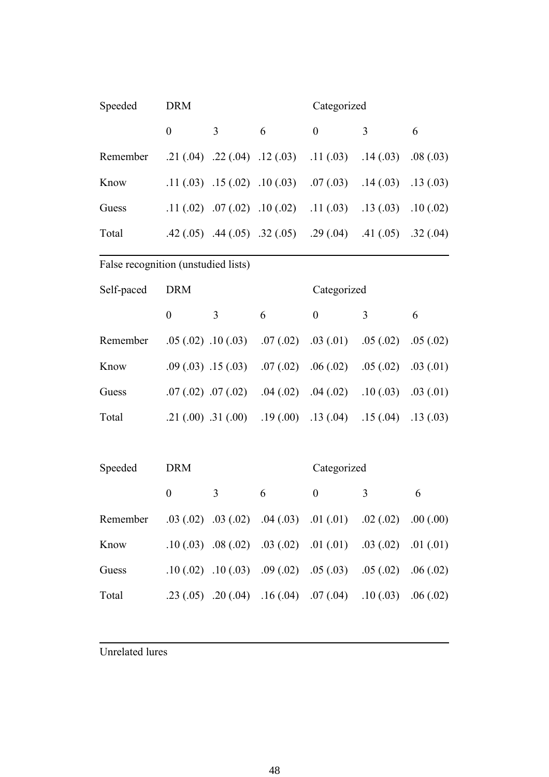| Speeded                                                              | <b>DRM</b>       |                       |                                  | Categorized                                                       |                       |           |
|----------------------------------------------------------------------|------------------|-----------------------|----------------------------------|-------------------------------------------------------------------|-----------------------|-----------|
|                                                                      | $\boldsymbol{0}$ | 3                     | 6                                | $\boldsymbol{0}$                                                  | 3                     | 6         |
| Remember                                                             |                  |                       | $.21(.04)$ $.22(.04)$ $.12(.03)$ | .11(.03)                                                          | .14(.03)              | .08(.03)  |
| Know                                                                 |                  |                       | $.11(.03)$ $.15(.02)$ $.10(.03)$ | .07(.03)                                                          | .14(.03)              | .13(0.03) |
| Guess                                                                |                  |                       | $.11(.02)$ $.07(.02)$ $.10(.02)$ | .11(03)                                                           | .13(0.03)             | .10(.02)  |
| Total                                                                |                  |                       |                                  | $.42(.05)$ $.44(.05)$ $.32(.05)$ $.29(.04)$                       | .41(.05)              | .32(.04)  |
| False recognition (unstudied lists)                                  |                  |                       |                                  |                                                                   |                       |           |
| Self-paced                                                           | <b>DRM</b>       |                       |                                  | Categorized                                                       |                       |           |
|                                                                      | $\boldsymbol{0}$ | 3                     | 6                                | $\boldsymbol{0}$                                                  | 3                     | 6         |
| Remember                                                             |                  | $.05(.02)$ $.10(.03)$ | .07(.02)                         | .03(0.01)                                                         | .05(.02)              | .05(.02)  |
| Know                                                                 |                  | $.09(.03)$ $.15(.03)$ | .07(.02)                         | .06(.02)                                                          | .05(.02)              | .03(01)   |
| Guess                                                                |                  | $.07(.02)$ $.07(.02)$ | .04(.02)                         | .04(.02)                                                          | .10(.03)              | .03(01)   |
| Total                                                                |                  | $.21(.00)$ $.31(.00)$ | .19(.00)                         | .13(.04)                                                          | .15(.04)              | .13(0.03) |
|                                                                      |                  |                       |                                  |                                                                   |                       |           |
| Speeded                                                              | <b>DRM</b>       |                       |                                  | Categorized                                                       |                       |           |
|                                                                      | $\boldsymbol{0}$ | 3                     | 6                                | $\boldsymbol{0}$                                                  | 3                     | 6         |
| Remember .03 (.02) .03 (.02) .04 (.03) .01 (.01) .02 (.02) .00 (.00) |                  |                       |                                  |                                                                   |                       |           |
| Know                                                                 |                  |                       |                                  | $.10(.03)$ $.08(.02)$ $.03(.02)$ $.01(.01)$ $.03(.02)$ $.01(.01)$ |                       |           |
| Guess                                                                |                  |                       |                                  | $.10(.02)$ $.10(.03)$ $.09(.02)$ $.05(.03)$                       | $.05(.02)$ $.06(.02)$ |           |
| Total                                                                |                  |                       |                                  | .23 (.05) .20 (.04) .16 (.04) .07 (.04) .10 (.03) .06 (.02)       |                       |           |

Unrelated lures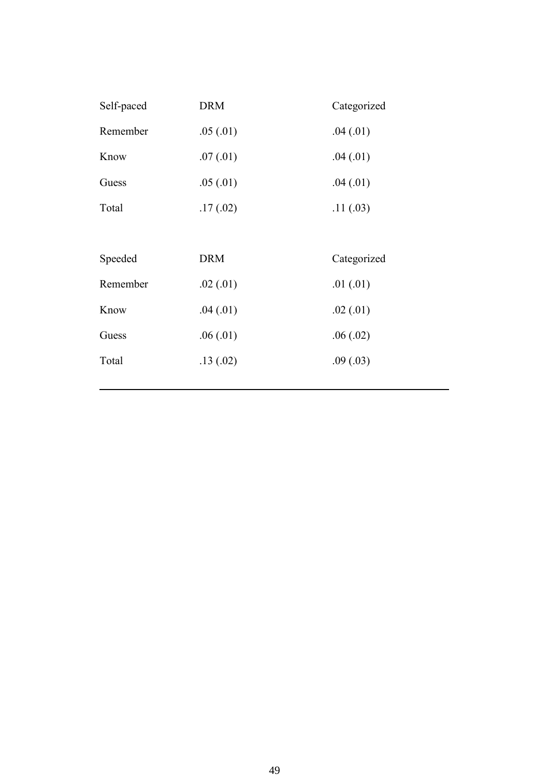| Self-paced | <b>DRM</b> | Categorized |
|------------|------------|-------------|
| Remember   | .05(0.01)  | .04(.01)    |
| Know       | .07(01)    | .04(.01)    |
| Guess      | .05(01)    | .04(.01)    |
| Total      | .17(02)    | .11(.03)    |
|            |            |             |
|            |            |             |
| Speeded    | <b>DRM</b> | Categorized |
| Remember   | .02(01)    | .01(01)     |
| Know       | .04(.01)   | .02(01)     |
| Guess      | .06(.01)   | .06(.02)    |
| Total      | .13(.02)   | .09(.03)    |